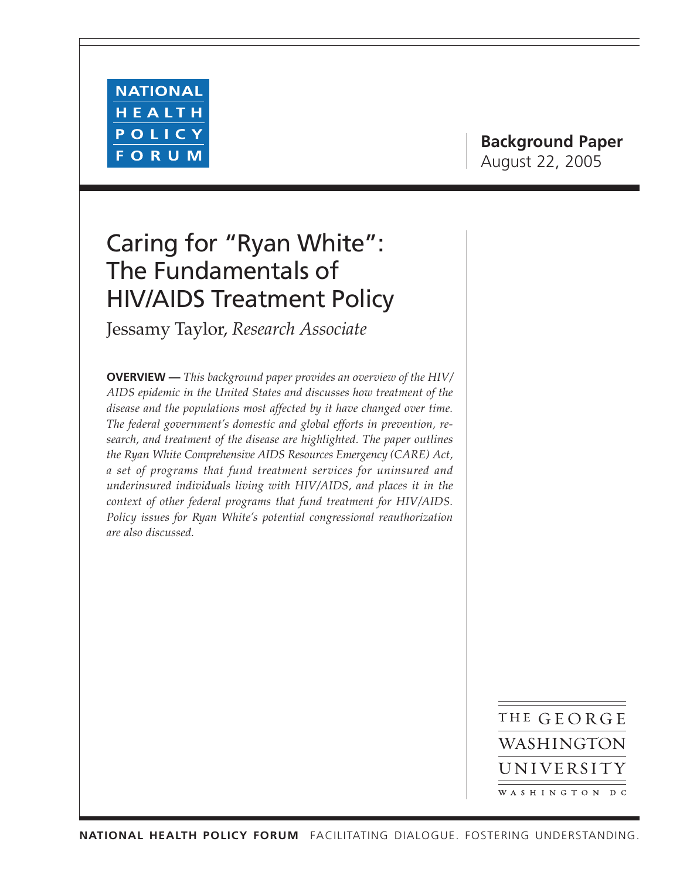

# **Background Paper** August 22, 2005

# Caring for "Ryan White": The Fundamentals of HIV/AIDS Treatment Policy

Jessamy Taylor, *Research Associate*

**OVERVIEW —** *This background paper provides an overview of the HIV/ AIDS epidemic in the United States and discusses how treatment of the disease and the populations most affected by it have changed over time. The federal government's domestic and global efforts in prevention, research, and treatment of the disease are highlighted. The paper outlines the Ryan White Comprehensive AIDS Resources Emergency (CARE) Act, a set of programs that fund treatment services for uninsured and underinsured individuals living with HIV/AIDS, and places it in the context of other federal programs that fund treatment for HIV/AIDS. Policy issues for Ryan White's potential congressional reauthorization are also discussed.*

> THE GEORGE WASHINGTON UNIVERSITY WASHINGTON DC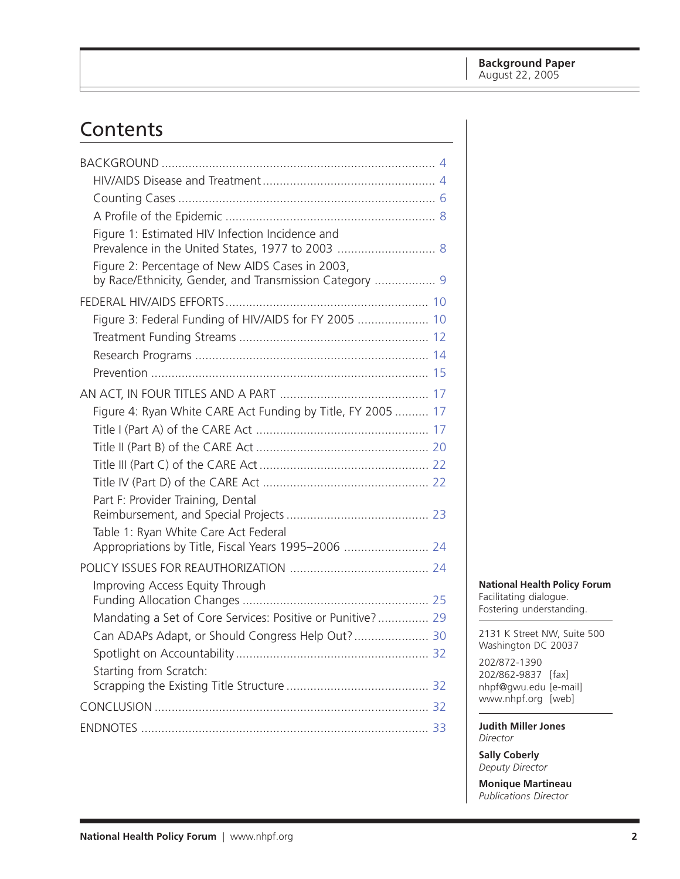# Contents

| Figure 1: Estimated HIV Infection Incidence and                                                            |  |
|------------------------------------------------------------------------------------------------------------|--|
| Figure 2: Percentage of New AIDS Cases in 2003,<br>by Race/Ethnicity, Gender, and Transmission Category  9 |  |
|                                                                                                            |  |
| Figure 3: Federal Funding of HIV/AIDS for FY 2005  10                                                      |  |
|                                                                                                            |  |
|                                                                                                            |  |
|                                                                                                            |  |
|                                                                                                            |  |
| Figure 4: Ryan White CARE Act Funding by Title, FY 2005  17                                                |  |
|                                                                                                            |  |
|                                                                                                            |  |
|                                                                                                            |  |
|                                                                                                            |  |
| Part F: Provider Training, Dental                                                                          |  |
| Table 1: Ryan White Care Act Federal                                                                       |  |
| Appropriations by Title, Fiscal Years 1995-2006  24                                                        |  |
|                                                                                                            |  |
| Improving Access Equity Through                                                                            |  |
| Mandating a Set of Core Services: Positive or Punitive? 29                                                 |  |
| Can ADAPs Adapt, or Should Congress Help Out? 30                                                           |  |
|                                                                                                            |  |
| Starting from Scratch:                                                                                     |  |
|                                                                                                            |  |
|                                                                                                            |  |

**National Health Policy Forum** Facilitating dialogue. Fostering understanding.

2131 K Street NW, Suite 500 Washington DC 20037

202/872-1390 202/862-9837 [fax] nhpf@gwu.edu [e-mail] www.nhpf.org [web]

**Judith Miller Jones** *Director*

**Sally Coberly** *Deputy Director*

**Monique Martineau** *Publications Director*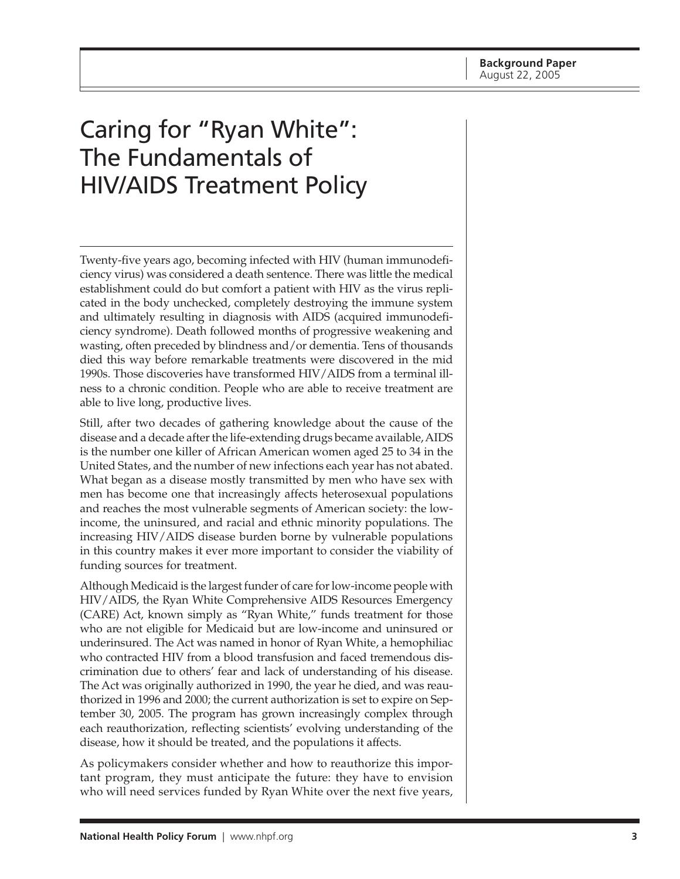# Caring for "Ryan White": The Fundamentals of HIV/AIDS Treatment Policy

Twenty-five years ago, becoming infected with HIV (human immunodeficiency virus) was considered a death sentence. There was little the medical establishment could do but comfort a patient with HIV as the virus replicated in the body unchecked, completely destroying the immune system and ultimately resulting in diagnosis with AIDS (acquired immunodeficiency syndrome). Death followed months of progressive weakening and wasting, often preceded by blindness and/or dementia. Tens of thousands died this way before remarkable treatments were discovered in the mid 1990s. Those discoveries have transformed HIV/AIDS from a terminal illness to a chronic condition. People who are able to receive treatment are able to live long, productive lives.

Still, after two decades of gathering knowledge about the cause of the disease and a decade after the life-extending drugs became available, AIDS is the number one killer of African American women aged 25 to 34 in the United States, and the number of new infections each year has not abated. What began as a disease mostly transmitted by men who have sex with men has become one that increasingly affects heterosexual populations and reaches the most vulnerable segments of American society: the lowincome, the uninsured, and racial and ethnic minority populations. The increasing HIV/AIDS disease burden borne by vulnerable populations in this country makes it ever more important to consider the viability of funding sources for treatment.

Although Medicaid is the largest funder of care for low-income people with HIV/AIDS, the Ryan White Comprehensive AIDS Resources Emergency (CARE) Act, known simply as "Ryan White," funds treatment for those who are not eligible for Medicaid but are low-income and uninsured or underinsured. The Act was named in honor of Ryan White, a hemophiliac who contracted HIV from a blood transfusion and faced tremendous discrimination due to others' fear and lack of understanding of his disease. The Act was originally authorized in 1990, the year he died, and was reauthorized in 1996 and 2000; the current authorization is set to expire on September 30, 2005. The program has grown increasingly complex through each reauthorization, reflecting scientists' evolving understanding of the disease, how it should be treated, and the populations it affects.

As policymakers consider whether and how to reauthorize this important program, they must anticipate the future: they have to envision who will need services funded by Ryan White over the next five years,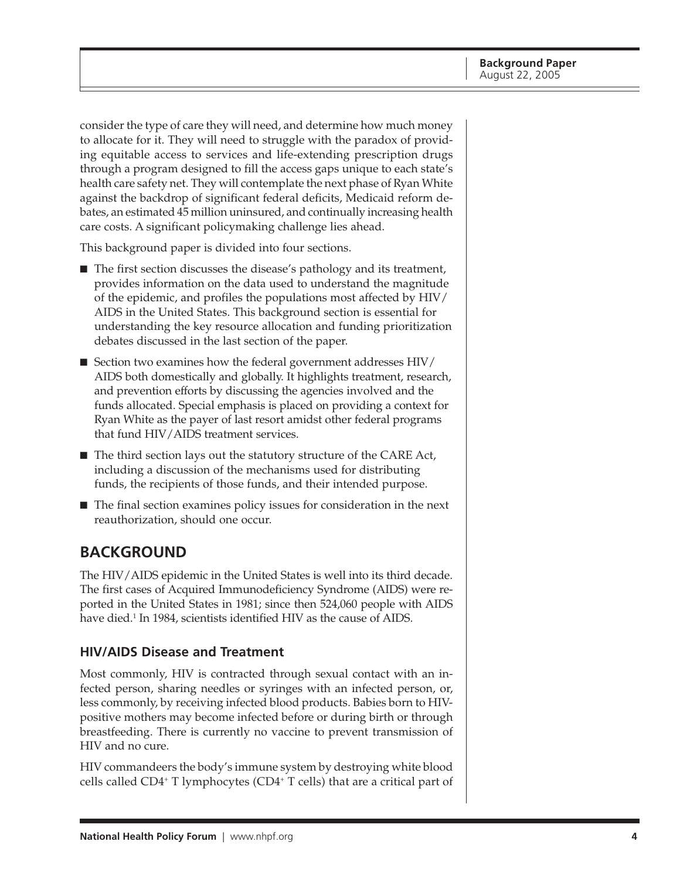<span id="page-3-0"></span>consider the type of care they will need, and determine how much money to allocate for it. They will need to struggle with the paradox of providing equitable access to services and life-extending prescription drugs through a program designed to fill the access gaps unique to each state's health care safety net. They will contemplate the next phase of Ryan White against the backdrop of significant federal deficits, Medicaid reform debates, an estimated 45 million uninsured, and continually increasing health care costs. A significant policymaking challenge lies ahead.

This background paper is divided into four sections.

- The first section discusses the disease's pathology and its treatment, provides information on the data used to understand the magnitude of the epidemic, and profiles the populations most affected by HIV/ AIDS in the United States. This background section is essential for understanding the key resource allocation and funding prioritization debates discussed in the last section of the paper.
- Section two examines how the federal government addresses HIV/ AIDS both domestically and globally. It highlights treatment, research, and prevention efforts by discussing the agencies involved and the funds allocated. Special emphasis is placed on providing a context for Ryan White as the payer of last resort amidst other federal programs that fund HIV/AIDS treatment services.
- The third section lays out the statutory structure of the CARE Act, including a discussion of the mechanisms used for distributing funds, the recipients of those funds, and their intended purpose.
- The final section examines policy issues for consideration in the next reauthorization, should one occur.

## **BACKGROUND**

The HIV/AIDS epidemic in the United States is well into its third decade. The first cases of Acquired Immunodeficiency Syndrome (AIDS) were reported in the United States in 1981; since then 524,060 people with AIDS have died.1 In 1984, scientists identified HIV as the cause of AIDS.

#### **HIV/AIDS Disease and Treatment**

Most commonly, HIV is contracted through sexual contact with an infected person, sharing needles or syringes with an infected person, or, less commonly, by receiving infected blood products. Babies born to HIVpositive mothers may become infected before or during birth or through breastfeeding. There is currently no vaccine to prevent transmission of HIV and no cure.

HIV commandeers the body's immune system by destroying white blood cells called CD4+ T lymphocytes (CD4+ T cells) that are a critical part of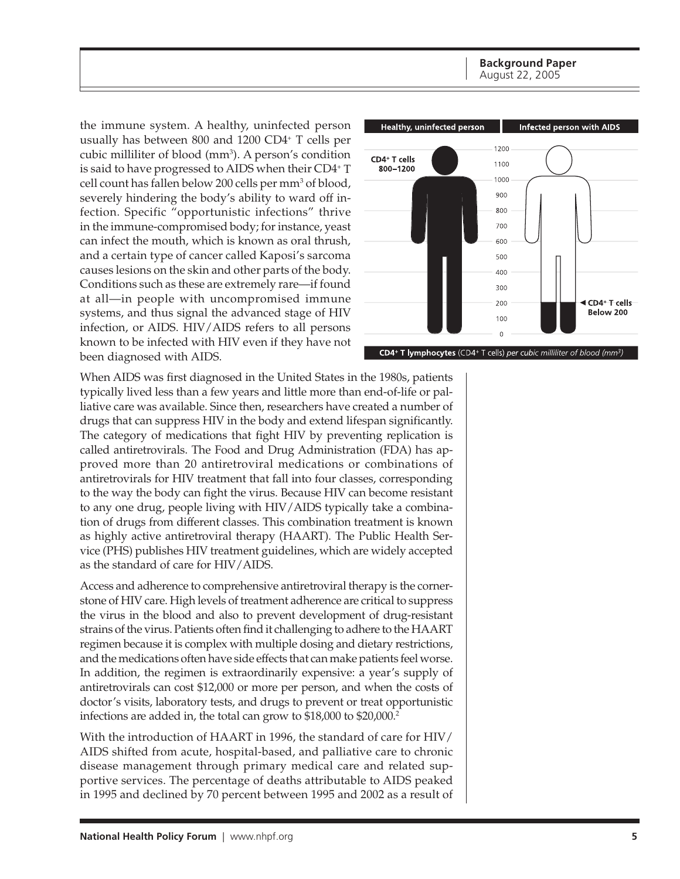**Background Paper** August 22, 2005

the immune system. A healthy, uninfected person usually has between 800 and 1200 CD4+ T cells per cubic milliliter of blood (mm<sup>3</sup>). A person's condition is said to have progressed to AIDS when their CD4+ T cell count has fallen below 200 cells per mm<sup>3</sup> of blood, severely hindering the body's ability to ward off infection. Specific "opportunistic infections" thrive in the immune-compromised body; for instance, yeast can infect the mouth, which is known as oral thrush, and a certain type of cancer called Kaposi's sarcoma causes lesions on the skin and other parts of the body. Conditions such as these are extremely rare—if found at all—in people with uncompromised immune systems, and thus signal the advanced stage of HIV infection, or AIDS. HIV/AIDS refers to all persons known to be infected with HIV even if they have not been diagnosed with AIDS.



When AIDS was first diagnosed in the United States in the 1980s, patients typically lived less than a few years and little more than end-of-life or palliative care was available. Since then, researchers have created a number of drugs that can suppress HIV in the body and extend lifespan significantly. The category of medications that fight HIV by preventing replication is called antiretrovirals. The Food and Drug Administration (FDA) has approved more than 20 antiretroviral medications or combinations of antiretrovirals for HIV treatment that fall into four classes, corresponding to the way the body can fight the virus. Because HIV can become resistant to any one drug, people living with HIV/AIDS typically take a combination of drugs from different classes. This combination treatment is known as highly active antiretroviral therapy (HAART). The Public Health Service (PHS) publishes HIV treatment guidelines, which are widely accepted as the standard of care for HIV/AIDS.

Access and adherence to comprehensive antiretroviral therapy is the cornerstone of HIV care. High levels of treatment adherence are critical to suppress the virus in the blood and also to prevent development of drug-resistant strains of the virus. Patients often find it challenging to adhere to the HAART regimen because it is complex with multiple dosing and dietary restrictions, and the medications often have side effects that can make patients feel worse. In addition, the regimen is extraordinarily expensive: a year's supply of antiretrovirals can cost \$12,000 or more per person, and when the costs of doctor's visits, laboratory tests, and drugs to prevent or treat opportunistic infections are added in, the total can grow to \$18,000 to \$20,000.<sup>2</sup>

With the introduction of HAART in 1996, the standard of care for HIV/ AIDS shifted from acute, hospital-based, and palliative care to chronic disease management through primary medical care and related supportive services. The percentage of deaths attributable to AIDS peaked in 1995 and declined by 70 percent between 1995 and 2002 as a result of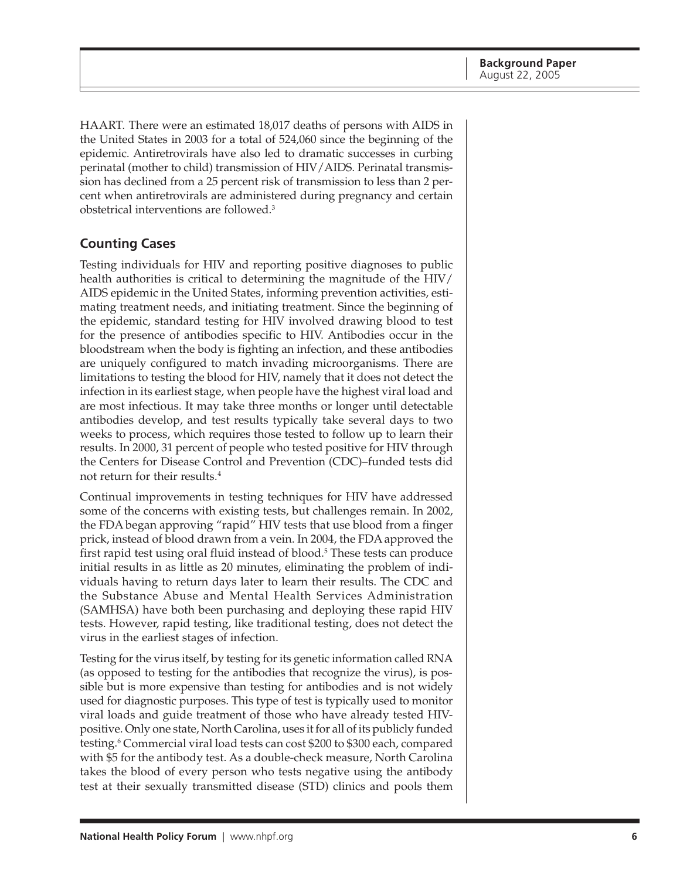<span id="page-5-0"></span>HAART. There were an estimated 18,017 deaths of persons with AIDS in the United States in 2003 for a total of 524,060 since the beginning of the epidemic. Antiretrovirals have also led to dramatic successes in curbing perinatal (mother to child) transmission of HIV/AIDS. Perinatal transmission has declined from a 25 percent risk of transmission to less than 2 percent when antiretrovirals are administered during pregnancy and certain obstetrical interventions are followed.3

#### **Counting Cases**

Testing individuals for HIV and reporting positive diagnoses to public health authorities is critical to determining the magnitude of the HIV/ AIDS epidemic in the United States, informing prevention activities, estimating treatment needs, and initiating treatment. Since the beginning of the epidemic, standard testing for HIV involved drawing blood to test for the presence of antibodies specific to HIV. Antibodies occur in the bloodstream when the body is fighting an infection, and these antibodies are uniquely configured to match invading microorganisms. There are limitations to testing the blood for HIV, namely that it does not detect the infection in its earliest stage, when people have the highest viral load and are most infectious. It may take three months or longer until detectable antibodies develop, and test results typically take several days to two weeks to process, which requires those tested to follow up to learn their results. In 2000, 31 percent of people who tested positive for HIV through the Centers for Disease Control and Prevention (CDC)–funded tests did not return for their results.4

Continual improvements in testing techniques for HIV have addressed some of the concerns with existing tests, but challenges remain. In 2002, the FDA began approving "rapid" HIV tests that use blood from a finger prick, instead of blood drawn from a vein. In 2004, the FDA approved the first rapid test using oral fluid instead of blood.<sup>5</sup> These tests can produce initial results in as little as 20 minutes, eliminating the problem of individuals having to return days later to learn their results. The CDC and the Substance Abuse and Mental Health Services Administration (SAMHSA) have both been purchasing and deploying these rapid HIV tests. However, rapid testing, like traditional testing, does not detect the virus in the earliest stages of infection.

Testing for the virus itself, by testing for its genetic information called RNA (as opposed to testing for the antibodies that recognize the virus), is possible but is more expensive than testing for antibodies and is not widely used for diagnostic purposes. This type of test is typically used to monitor viral loads and guide treatment of those who have already tested HIVpositive. Only one state, North Carolina, uses it for all of its publicly funded testing.6 Commercial viral load tests can cost \$200 to \$300 each, compared with \$5 for the antibody test. As a double-check measure, North Carolina takes the blood of every person who tests negative using the antibody test at their sexually transmitted disease (STD) clinics and pools them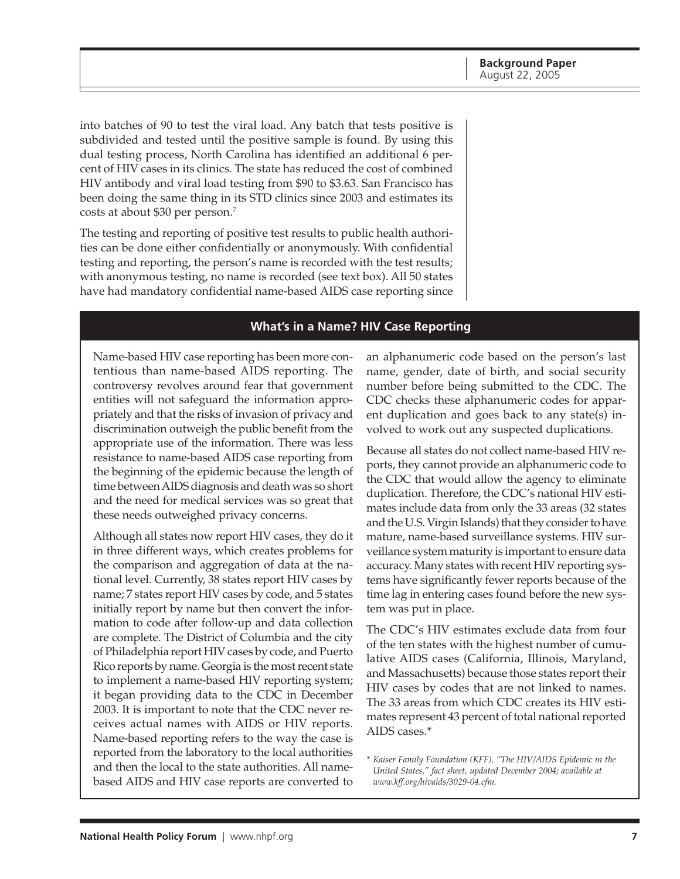into batches of 90 to test the viral load. Any batch that tests positive is subdivided and tested until the positive sample is found. By using this dual testing process, North Carolina has identified an additional 6 percent of HIV cases in its clinics. The state has reduced the cost of combined HIV antibody and viral load testing from \$90 to \$3.63. San Francisco has been doing the same thing in its STD clinics since 2003 and estimates its costs at about \$30 per person.7

The testing and reporting of positive test results to public health authorities can be done either confidentially or anonymously. With confidential testing and reporting, the person's name is recorded with the test results; with anonymous testing, no name is recorded (see text box). All 50 states have had mandatory confidential name-based AIDS case reporting since

#### **What's in a Name? HIV Case Reporting**

Name-based HIV case reporting has been more contentious than name-based AIDS reporting. The controversy revolves around fear that government entities will not safeguard the information appropriately and that the risks of invasion of privacy and discrimination outweigh the public benefit from the appropriate use of the information. There was less resistance to name-based AIDS case reporting from the beginning of the epidemic because the length of time between AIDS diagnosis and death was so short and the need for medical services was so great that these needs outweighed privacy concerns.

Although all states now report HIV cases, they do it in three different ways, which creates problems for the comparison and aggregation of data at the national level. Currently, 38 states report HIV cases by name; 7 states report HIV cases by code, and 5 states initially report by name but then convert the information to code after follow-up and data collection are complete. The District of Columbia and the city of Philadelphia report HIV cases by code, and Puerto Rico reports by name. Georgia is the most recent state to implement a name-based HIV reporting system; it began providing data to the CDC in December 2003. It is important to note that the CDC never receives actual names with AIDS or HIV reports. Name-based reporting refers to the way the case is reported from the laboratory to the local authorities and then the local to the state authorities. All namebased AIDS and HIV case reports are converted to

an alphanumeric code based on the person's last name, gender, date of birth, and social security number before being submitted to the CDC. The CDC checks these alphanumeric codes for apparent duplication and goes back to any state(s) involved to work out any suspected duplications.

Because all states do not collect name-based HIV reports, they cannot provide an alphanumeric code to the CDC that would allow the agency to eliminate duplication. Therefore, the CDC's national HIV estimates include data from only the 33 areas (32 states and the U.S. Virgin Islands) that they consider to have mature, name-based surveillance systems. HIV surveillance system maturity is important to ensure data accuracy. Many states with recent HIV reporting systems have significantly fewer reports because of the time lag in entering cases found before the new system was put in place.

The CDC's HIV estimates exclude data from four of the ten states with the highest number of cumulative AIDS cases (California, Illinois, Maryland, and Massachusetts) because those states report their HIV cases by codes that are not linked to names. The 33 areas from which CDC creates its HIV estimates represent 43 percent of total national reported AIDS cases.\*

*\* Kaiser Family Foundation (KFF), "The HIV/AIDS Epidemic in the United States," fact sheet, updated December 2004; available at www.kff.org/hivaids/3029-04.cfm.*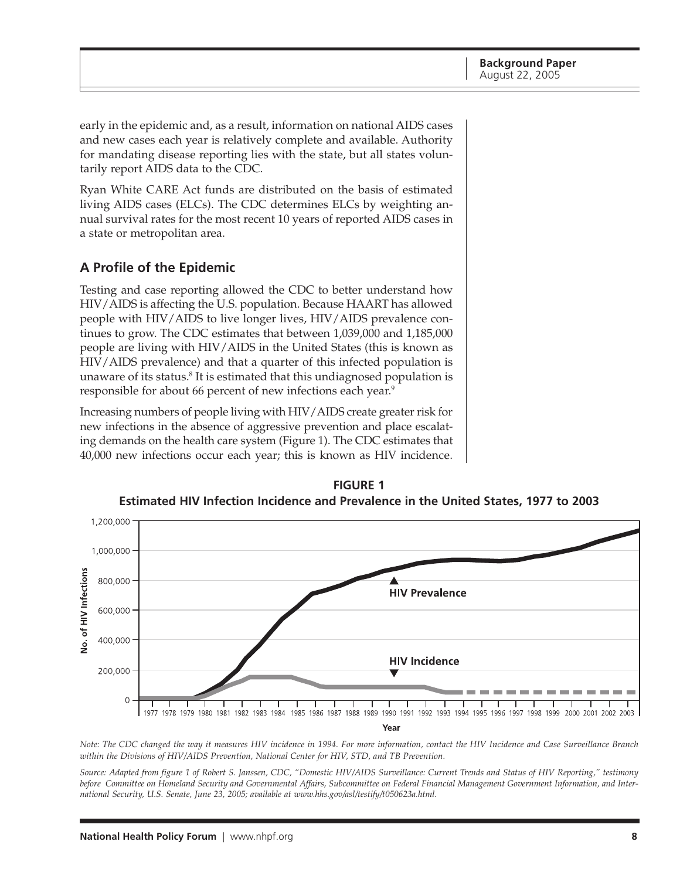<span id="page-7-0"></span>early in the epidemic and, as a result, information on national AIDS cases and new cases each year is relatively complete and available. Authority for mandating disease reporting lies with the state, but all states voluntarily report AIDS data to the CDC.

Ryan White CARE Act funds are distributed on the basis of estimated living AIDS cases (ELCs). The CDC determines ELCs by weighting annual survival rates for the most recent 10 years of reported AIDS cases in a state or metropolitan area.

#### **A Profile of the Epidemic**

Testing and case reporting allowed the CDC to better understand how HIV/AIDS is affecting the U.S. population. Because HAART has allowed people with HIV/AIDS to live longer lives, HIV/AIDS prevalence continues to grow. The CDC estimates that between 1,039,000 and 1,185,000 people are living with HIV/AIDS in the United States (this is known as HIV/AIDS prevalence) and that a quarter of this infected population is unaware of its status. $^8$  It is estimated that this undiagnosed population is responsible for about 66 percent of new infections each year.<sup>9</sup>

Increasing numbers of people living with HIV/AIDS create greater risk for new infections in the absence of aggressive prevention and place escalating demands on the health care system (Figure 1). The CDC estimates that 40,000 new infections occur each year; this is known as HIV incidence.



**FIGURE 1 Estimated HIV Infection Incidence and Prevalence in the United States, 1977 to 2003**

*Note: The CDC changed the way it measures HIV incidence in 1994. For more information, contact the HIV Incidence and Case Surveillance Branch within the Divisions of HIV/AIDS Prevention, National Center for HIV, STD, and TB Prevention.*

*Source: Adapted from figure 1 of Robert S. Janssen, CDC, "Domestic HIV/AIDS Surveillance: Current Trends and Status of HIV Reporting," testimony before Committee on Homeland Security and Governmental Affairs, Subcommittee on Federal Financial Management Government Information, and International Security, U.S. Senate, June 23, 2005; available at www.hhs.gov/asl/testify/t050623a.html.*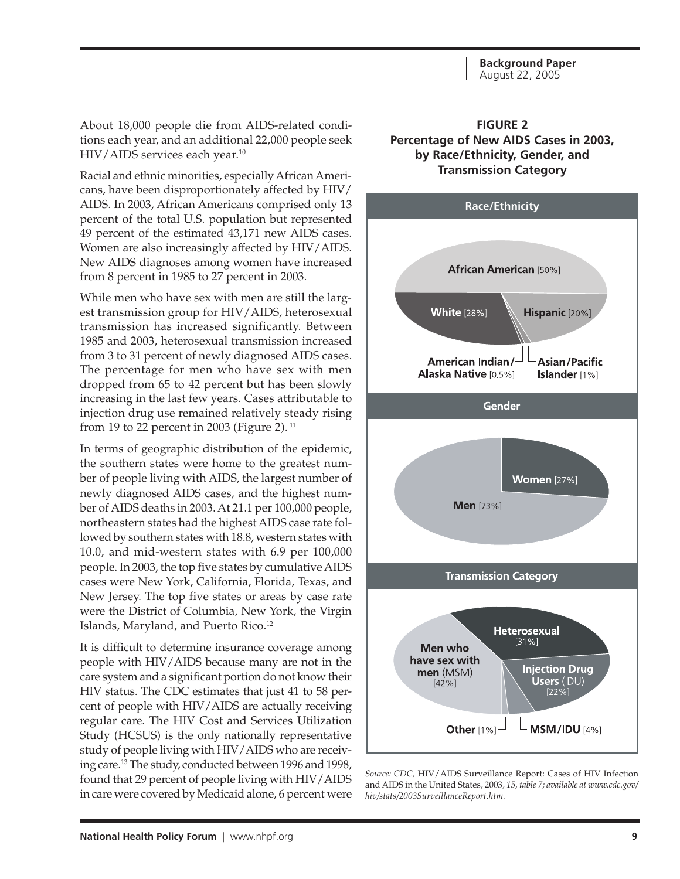<span id="page-8-0"></span>About 18,000 people die from AIDS-related conditions each year, and an additional 22,000 people seek HIV/AIDS services each year.<sup>10</sup>

Racial and ethnic minorities, especially African Americans, have been disproportionately affected by HIV/ AIDS. In 2003, African Americans comprised only 13 percent of the total U.S. population but represented 49 percent of the estimated 43,171 new AIDS cases. Women are also increasingly affected by HIV/AIDS. New AIDS diagnoses among women have increased from 8 percent in 1985 to 27 percent in 2003.

While men who have sex with men are still the largest transmission group for HIV/AIDS, heterosexual transmission has increased significantly. Between 1985 and 2003, heterosexual transmission increased from 3 to 31 percent of newly diagnosed AIDS cases. The percentage for men who have sex with men dropped from 65 to 42 percent but has been slowly increasing in the last few years. Cases attributable to injection drug use remained relatively steady rising from 19 to 22 percent in 2003 (Figure 2).  $11$ 

In terms of geographic distribution of the epidemic, the southern states were home to the greatest number of people living with AIDS, the largest number of newly diagnosed AIDS cases, and the highest number of AIDS deaths in 2003. At 21.1 per 100,000 people, northeastern states had the highest AIDS case rate followed by southern states with 18.8, western states with 10.0, and mid-western states with 6.9 per 100,000 people. In 2003, the top five states by cumulative AIDS cases were New York, California, Florida, Texas, and New Jersey. The top five states or areas by case rate were the District of Columbia, New York, the Virgin Islands, Maryland, and Puerto Rico.<sup>12</sup>

It is difficult to determine insurance coverage among people with HIV/AIDS because many are not in the care system and a significant portion do not know their HIV status. The CDC estimates that just 41 to 58 percent of people with HIV/AIDS are actually receiving regular care. The HIV Cost and Services Utilization Study (HCSUS) is the only nationally representative study of people living with HIV/AIDS who are receiving care.13 The study, conducted between 1996 and 1998, found that 29 percent of people living with HIV/AIDS in care were covered by Medicaid alone, 6 percent were





*Source: CDC,* HIV/AIDS Surveillance Report: Cases of HIV Infection and AIDS in the United States, 2003*, 15, table 7; available at www.cdc.gov/ hiv/stats/2003SurveillanceReport.htm.*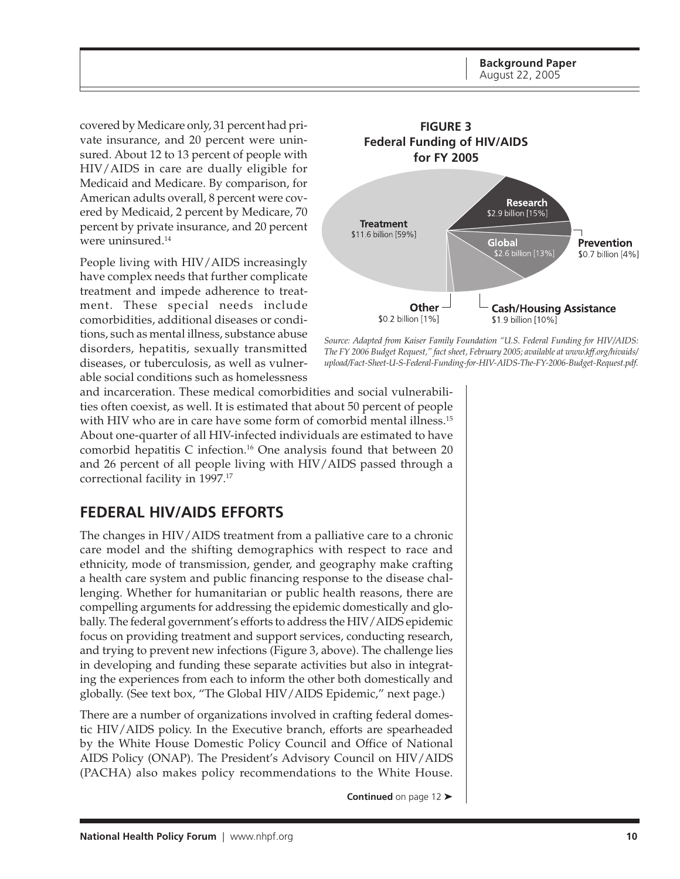**Background Paper** August 22, 2005

<span id="page-9-0"></span>covered by Medicare only, 31 percent had private insurance, and 20 percent were uninsured. About 12 to 13 percent of people with HIV/AIDS in care are dually eligible for Medicaid and Medicare. By comparison, for American adults overall, 8 percent were covered by Medicaid, 2 percent by Medicare, 70 percent by private insurance, and 20 percent were uninsured.14

People living with HIV/AIDS increasingly have complex needs that further complicate treatment and impede adherence to treatment. These special needs include comorbidities, additional diseases or conditions, such as mental illness, substance abuse disorders, hepatitis, sexually transmitted diseases, or tuberculosis, as well as vulnerable social conditions such as homelessness



*Source: Adapted from Kaiser Family Foundation "U.S. Federal Funding for HIV/AIDS: The FY 2006 Budget Request," fact sheet, February 2005; available at www.kff.org/hivaids/ upload/Fact-Sheet-U-S-Federal-Funding-for-HIV-AIDS-The-FY-2006-Budget-Request.pdf.*

and incarceration. These medical comorbidities and social vulnerabilities often coexist, as well. It is estimated that about 50 percent of people with HIV who are in care have some form of comorbid mental illness.<sup>15</sup> About one-quarter of all HIV-infected individuals are estimated to have comorbid hepatitis C infection.<sup>16</sup> One analysis found that between 20 and 26 percent of all people living with HIV/AIDS passed through a correctional facility in 1997.<sup>17</sup>

## **FEDERAL HIV/AIDS EFFORTS**

The changes in HIV/AIDS treatment from a palliative care to a chronic care model and the shifting demographics with respect to race and ethnicity, mode of transmission, gender, and geography make crafting a health care system and public financing response to the disease challenging. Whether for humanitarian or public health reasons, there are compelling arguments for addressing the epidemic domestically and globally. The federal government's efforts to address the HIV/AIDS epidemic focus on providing treatment and support services, conducting research, and trying to prevent new infections (Figure 3, above). The challenge lies in developing and funding these separate activities but also in integrating the experiences from each to inform the other both domestically and globally. (See text box, "The Global HIV/AIDS Epidemic," next page.)

There are a number of organizations involved in crafting federal domestic HIV/AIDS policy. In the Executive branch, efforts are spearheaded by the White House Domestic Policy Council and Office of National AIDS Policy (ONAP). The President's Advisory Council on HIV/AIDS (PACHA) also makes policy recommendations to the White House.

**Continued** on page 12 ➤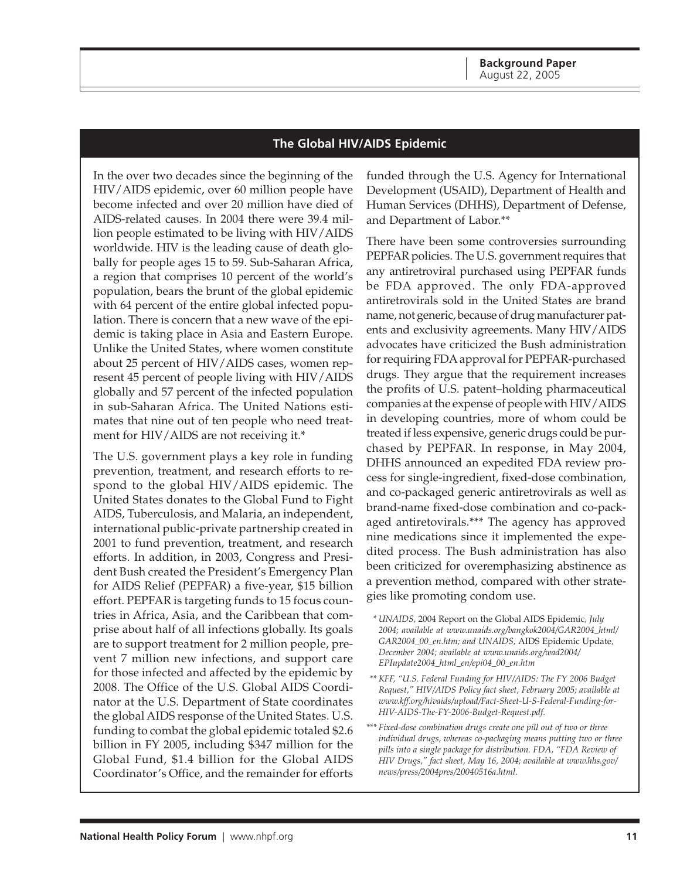#### **The Global HIV/AIDS Epidemic**

In the over two decades since the beginning of the HIV/AIDS epidemic, over 60 million people have become infected and over 20 million have died of AIDS-related causes. In 2004 there were 39.4 million people estimated to be living with HIV/AIDS worldwide. HIV is the leading cause of death globally for people ages 15 to 59. Sub-Saharan Africa, a region that comprises 10 percent of the world's population, bears the brunt of the global epidemic with 64 percent of the entire global infected population. There is concern that a new wave of the epidemic is taking place in Asia and Eastern Europe. Unlike the United States, where women constitute about 25 percent of HIV/AIDS cases, women represent 45 percent of people living with HIV/AIDS globally and 57 percent of the infected population in sub-Saharan Africa. The United Nations estimates that nine out of ten people who need treatment for HIV/AIDS are not receiving it.\*

The U.S. government plays a key role in funding prevention, treatment, and research efforts to respond to the global HIV/AIDS epidemic. The United States donates to the Global Fund to Fight AIDS, Tuberculosis, and Malaria, an independent, international public-private partnership created in 2001 to fund prevention, treatment, and research efforts. In addition, in 2003, Congress and President Bush created the President's Emergency Plan for AIDS Relief (PEPFAR) a five-year, \$15 billion effort. PEPFAR is targeting funds to 15 focus countries in Africa, Asia, and the Caribbean that comprise about half of all infections globally. Its goals are to support treatment for 2 million people, prevent 7 million new infections, and support care for those infected and affected by the epidemic by 2008. The Office of the U.S. Global AIDS Coordinator at the U.S. Department of State coordinates the global AIDS response of the United States. U.S. funding to combat the global epidemic totaled \$2.6 billion in FY 2005, including \$347 million for the Global Fund, \$1.4 billion for the Global AIDS Coordinator's Office, and the remainder for efforts funded through the U.S. Agency for International Development (USAID), Department of Health and Human Services (DHHS), Department of Defense, and Department of Labor.\*\*

There have been some controversies surrounding PEPFAR policies. The U.S. government requires that any antiretroviral purchased using PEPFAR funds be FDA approved. The only FDA-approved antiretrovirals sold in the United States are brand name, not generic, because of drug manufacturer patents and exclusivity agreements. Many HIV/AIDS advocates have criticized the Bush administration for requiring FDA approval for PEPFAR-purchased drugs. They argue that the requirement increases the profits of U.S. patent–holding pharmaceutical companies at the expense of people with HIV/AIDS in developing countries, more of whom could be treated if less expensive, generic drugs could be purchased by PEPFAR. In response, in May 2004, DHHS announced an expedited FDA review process for single-ingredient, fixed-dose combination, and co-packaged generic antiretrovirals as well as brand-name fixed-dose combination and co-packaged antiretovirals.\*\*\* The agency has approved nine medications since it implemented the expedited process. The Bush administration has also been criticized for overemphasizing abstinence as a prevention method, compared with other strategies like promoting condom use.

- *\* UNAIDS,* 2004 Report on the Global AIDS Epidemic*, July 2004; available at www.unaids.org/bangkok2004/GAR2004\_html/ GAR2004\_00\_en.htm; and UNAIDS,* AIDS Epidemic Update*, December 2004; available at www.unaids.org/wad2004/ EPIupdate2004\_html\_en/epi04\_00\_en.htm*
- *\*\* KFF, "U.S. Federal Funding for HIV/AIDS: The FY 2006 Budget Request," HIV/AIDS Policy fact sheet, February 2005; available at www.kff.org/hivaids/upload/Fact-Sheet-U-S-Federal-Funding-for-HIV-AIDS-The-FY-2006-Budget-Request.pdf.*
- *\*\*\* Fixed-dose combination drugs create one pill out of two or three individual drugs, whereas co-packaging means putting two or three pills into a single package for distribution. FDA, "FDA Review of HIV Drugs," fact sheet, May 16, 2004; available at www.hhs.gov/ news/press/2004pres/20040516a.html.*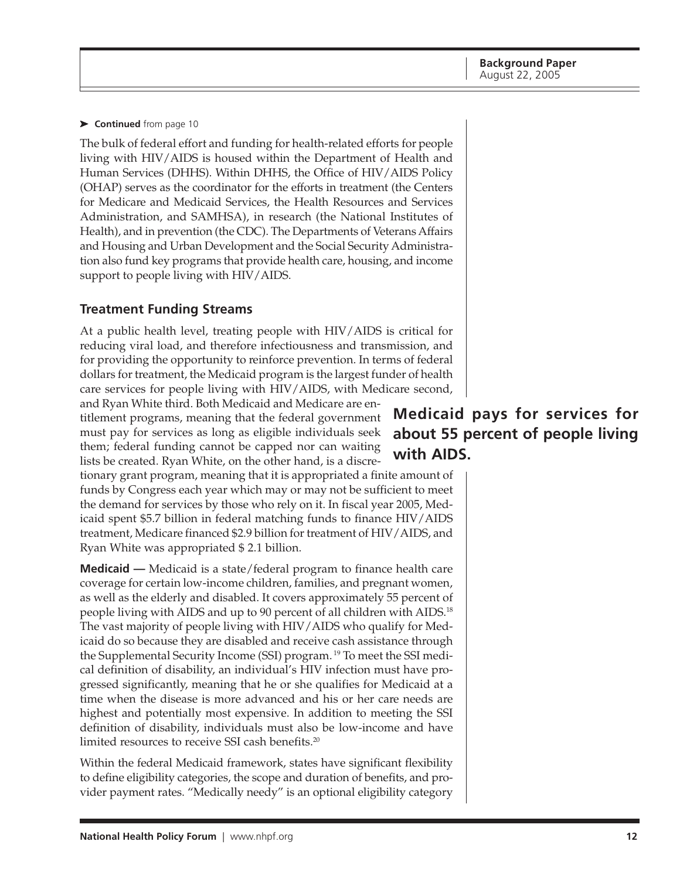#### <span id="page-11-0"></span>➤ **Continued** from page 10

The bulk of federal effort and funding for health-related efforts for people living with HIV/AIDS is housed within the Department of Health and Human Services (DHHS). Within DHHS, the Office of HIV/AIDS Policy (OHAP) serves as the coordinator for the efforts in treatment (the Centers for Medicare and Medicaid Services, the Health Resources and Services Administration, and SAMHSA), in research (the National Institutes of Health), and in prevention (the CDC). The Departments of Veterans Affairs and Housing and Urban Development and the Social Security Administration also fund key programs that provide health care, housing, and income support to people living with HIV/AIDS.

#### **Treatment Funding Streams**

At a public health level, treating people with HIV/AIDS is critical for reducing viral load, and therefore infectiousness and transmission, and for providing the opportunity to reinforce prevention. In terms of federal dollars for treatment, the Medicaid program is the largest funder of health care services for people living with HIV/AIDS, with Medicare second,

and Ryan White third. Both Medicaid and Medicare are entitlement programs, meaning that the federal government must pay for services as long as eligible individuals seek them; federal funding cannot be capped nor can waiting lists be created. Ryan White, on the other hand, is a discre-

tionary grant program, meaning that it is appropriated a finite amount of funds by Congress each year which may or may not be sufficient to meet the demand for services by those who rely on it. In fiscal year 2005, Medicaid spent \$5.7 billion in federal matching funds to finance HIV/AIDS treatment, Medicare financed \$2.9 billion for treatment of HIV/AIDS, and Ryan White was appropriated \$ 2.1 billion.

**Medicaid —** Medicaid is a state/federal program to finance health care coverage for certain low-income children, families, and pregnant women, as well as the elderly and disabled. It covers approximately 55 percent of people living with AIDS and up to 90 percent of all children with AIDS.18 The vast majority of people living with HIV/AIDS who qualify for Medicaid do so because they are disabled and receive cash assistance through the Supplemental Security Income (SSI) program. 19 To meet the SSI medical definition of disability, an individual's HIV infection must have progressed significantly, meaning that he or she qualifies for Medicaid at a time when the disease is more advanced and his or her care needs are highest and potentially most expensive. In addition to meeting the SSI definition of disability, individuals must also be low-income and have limited resources to receive SSI cash benefits.<sup>20</sup>

Within the federal Medicaid framework, states have significant flexibility to define eligibility categories, the scope and duration of benefits, and provider payment rates. "Medically needy" is an optional eligibility category

## **Medicaid pays for services for about 55 percent of people living with AIDS.**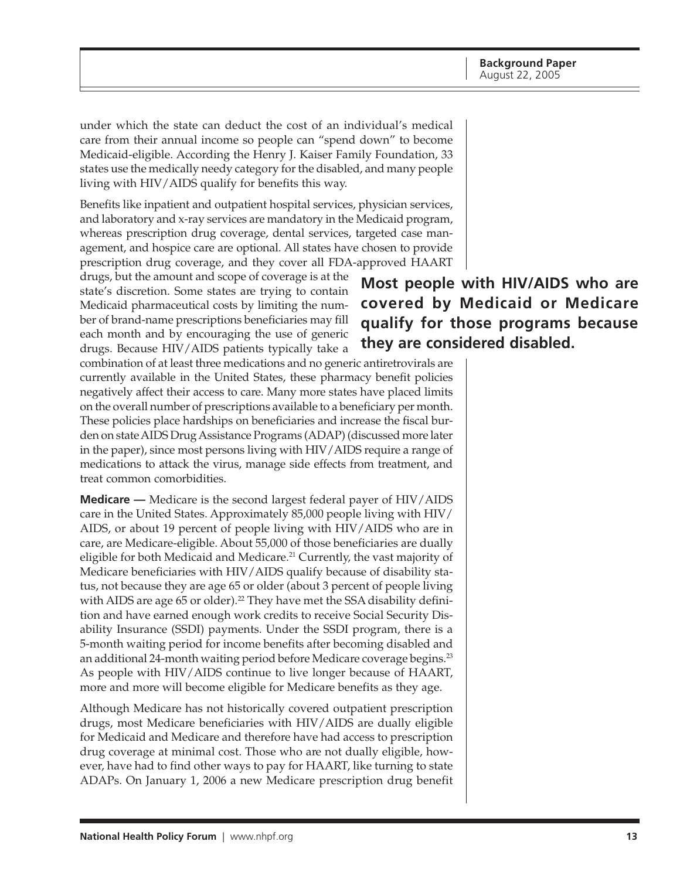under which the state can deduct the cost of an individual's medical care from their annual income so people can "spend down" to become Medicaid-eligible. According the Henry J. Kaiser Family Foundation, 33 states use the medically needy category for the disabled, and many people living with HIV/AIDS qualify for benefits this way.

Benefits like inpatient and outpatient hospital services, physician services, and laboratory and x-ray services are mandatory in the Medicaid program, whereas prescription drug coverage, dental services, targeted case management, and hospice care are optional. All states have chosen to provide prescription drug coverage, and they cover all FDA-approved HAART

drugs, but the amount and scope of coverage is at the state's discretion. Some states are trying to contain Medicaid pharmaceutical costs by limiting the number of brand-name prescriptions beneficiaries may fill each month and by encouraging the use of generic drugs. Because HIV/AIDS patients typically take a

combination of at least three medications and no generic antiretrovirals are currently available in the United States, these pharmacy benefit policies negatively affect their access to care. Many more states have placed limits on the overall number of prescriptions available to a beneficiary per month. These policies place hardships on beneficiaries and increase the fiscal burden on state AIDS Drug Assistance Programs (ADAP) (discussed more later in the paper), since most persons living with HIV/AIDS require a range of medications to attack the virus, manage side effects from treatment, and treat common comorbidities.

**Medicare —** Medicare is the second largest federal payer of HIV/AIDS care in the United States. Approximately 85,000 people living with HIV/ AIDS, or about 19 percent of people living with HIV/AIDS who are in care, are Medicare-eligible. About 55,000 of those beneficiaries are dually eligible for both Medicaid and Medicare.<sup>21</sup> Currently, the vast majority of Medicare beneficiaries with HIV/AIDS qualify because of disability status, not because they are age 65 or older (about 3 percent of people living with AIDS are age 65 or older).<sup>22</sup> They have met the SSA disability definition and have earned enough work credits to receive Social Security Disability Insurance (SSDI) payments. Under the SSDI program, there is a 5-month waiting period for income benefits after becoming disabled and an additional 24-month waiting period before Medicare coverage begins.<sup>23</sup> As people with HIV/AIDS continue to live longer because of HAART, more and more will become eligible for Medicare benefits as they age.

Although Medicare has not historically covered outpatient prescription drugs, most Medicare beneficiaries with HIV/AIDS are dually eligible for Medicaid and Medicare and therefore have had access to prescription drug coverage at minimal cost. Those who are not dually eligible, however, have had to find other ways to pay for HAART, like turning to state ADAPs. On January 1, 2006 a new Medicare prescription drug benefit

**Most people with HIV/AIDS who are covered by Medicaid or Medicare qualify for those programs because they are considered disabled.**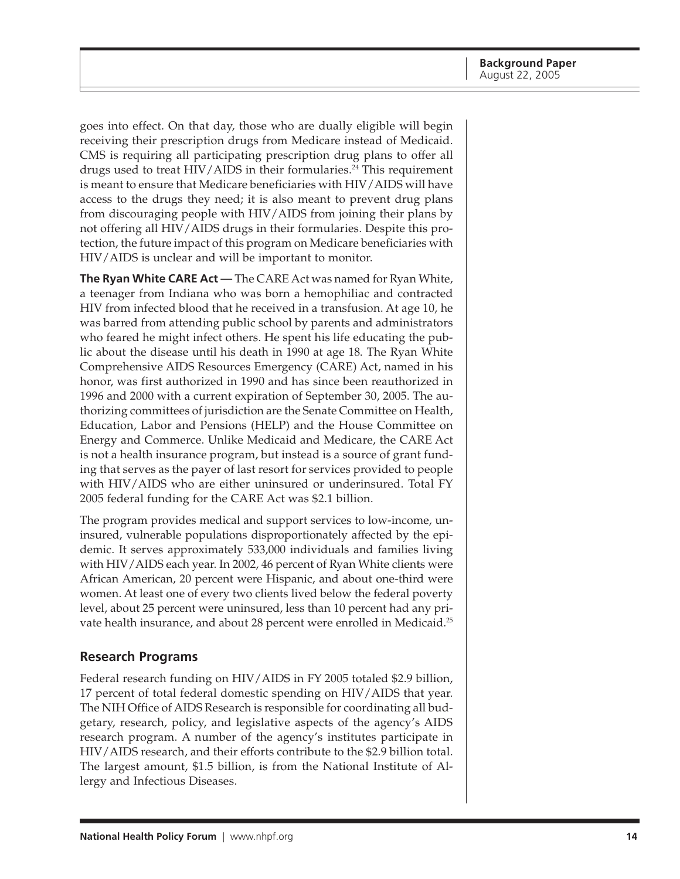<span id="page-13-0"></span>goes into effect. On that day, those who are dually eligible will begin receiving their prescription drugs from Medicare instead of Medicaid. CMS is requiring all participating prescription drug plans to offer all drugs used to treat HIV/AIDS in their formularies.<sup>24</sup> This requirement is meant to ensure that Medicare beneficiaries with HIV/AIDS will have access to the drugs they need; it is also meant to prevent drug plans from discouraging people with HIV/AIDS from joining their plans by not offering all HIV/AIDS drugs in their formularies. Despite this protection, the future impact of this program on Medicare beneficiaries with HIV/AIDS is unclear and will be important to monitor.

**The Ryan White CARE Act —** The CARE Act was named for Ryan White, a teenager from Indiana who was born a hemophiliac and contracted HIV from infected blood that he received in a transfusion. At age 10, he was barred from attending public school by parents and administrators who feared he might infect others. He spent his life educating the public about the disease until his death in 1990 at age 18. The Ryan White Comprehensive AIDS Resources Emergency (CARE) Act, named in his honor, was first authorized in 1990 and has since been reauthorized in 1996 and 2000 with a current expiration of September 30, 2005. The authorizing committees of jurisdiction are the Senate Committee on Health, Education, Labor and Pensions (HELP) and the House Committee on Energy and Commerce. Unlike Medicaid and Medicare, the CARE Act is not a health insurance program, but instead is a source of grant funding that serves as the payer of last resort for services provided to people with HIV/AIDS who are either uninsured or underinsured. Total FY 2005 federal funding for the CARE Act was \$2.1 billion.

The program provides medical and support services to low-income, uninsured, vulnerable populations disproportionately affected by the epidemic. It serves approximately 533,000 individuals and families living with HIV/AIDS each year. In 2002, 46 percent of Ryan White clients were African American, 20 percent were Hispanic, and about one-third were women. At least one of every two clients lived below the federal poverty level, about 25 percent were uninsured, less than 10 percent had any private health insurance, and about 28 percent were enrolled in Medicaid.<sup>25</sup>

#### **Research Programs**

Federal research funding on HIV/AIDS in FY 2005 totaled \$2.9 billion, 17 percent of total federal domestic spending on HIV/AIDS that year. The NIH Office of AIDS Research is responsible for coordinating all budgetary, research, policy, and legislative aspects of the agency's AIDS research program. A number of the agency's institutes participate in HIV/AIDS research, and their efforts contribute to the \$2.9 billion total. The largest amount, \$1.5 billion, is from the National Institute of Allergy and Infectious Diseases.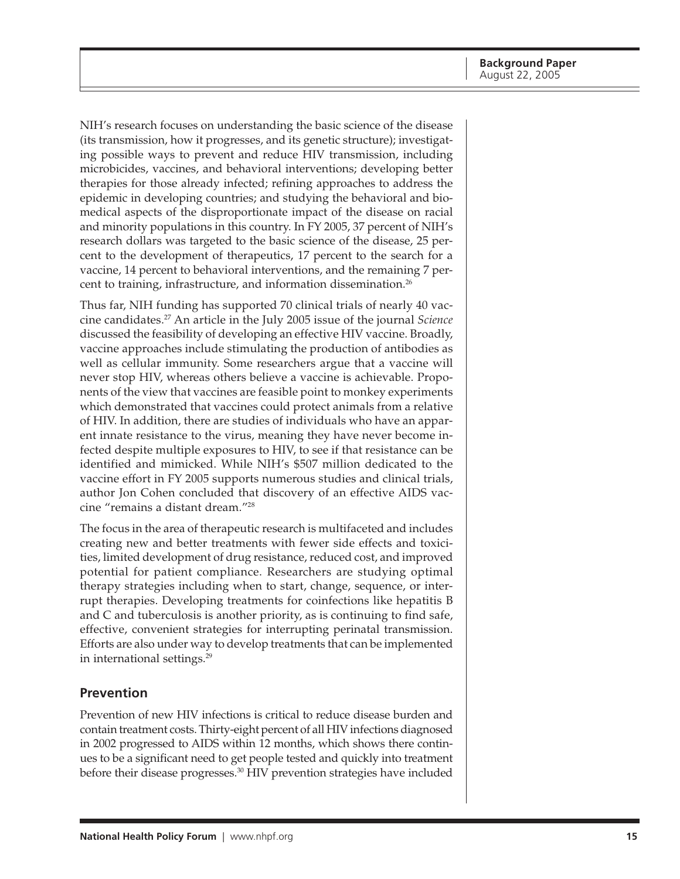<span id="page-14-0"></span>NIH's research focuses on understanding the basic science of the disease (its transmission, how it progresses, and its genetic structure); investigating possible ways to prevent and reduce HIV transmission, including microbicides, vaccines, and behavioral interventions; developing better therapies for those already infected; refining approaches to address the epidemic in developing countries; and studying the behavioral and biomedical aspects of the disproportionate impact of the disease on racial and minority populations in this country. In FY 2005, 37 percent of NIH's research dollars was targeted to the basic science of the disease, 25 percent to the development of therapeutics, 17 percent to the search for a vaccine, 14 percent to behavioral interventions, and the remaining 7 percent to training, infrastructure, and information dissemination.26

Thus far, NIH funding has supported 70 clinical trials of nearly 40 vaccine candidates.27 An article in the July 2005 issue of the journal *Science* discussed the feasibility of developing an effective HIV vaccine. Broadly, vaccine approaches include stimulating the production of antibodies as well as cellular immunity. Some researchers argue that a vaccine will never stop HIV, whereas others believe a vaccine is achievable. Proponents of the view that vaccines are feasible point to monkey experiments which demonstrated that vaccines could protect animals from a relative of HIV. In addition, there are studies of individuals who have an apparent innate resistance to the virus, meaning they have never become infected despite multiple exposures to HIV, to see if that resistance can be identified and mimicked. While NIH's \$507 million dedicated to the vaccine effort in FY 2005 supports numerous studies and clinical trials, author Jon Cohen concluded that discovery of an effective AIDS vaccine "remains a distant dream."28

The focus in the area of therapeutic research is multifaceted and includes creating new and better treatments with fewer side effects and toxicities, limited development of drug resistance, reduced cost, and improved potential for patient compliance. Researchers are studying optimal therapy strategies including when to start, change, sequence, or interrupt therapies. Developing treatments for coinfections like hepatitis B and C and tuberculosis is another priority, as is continuing to find safe, effective, convenient strategies for interrupting perinatal transmission. Efforts are also under way to develop treatments that can be implemented in international settings.<sup>29</sup>

#### **Prevention**

Prevention of new HIV infections is critical to reduce disease burden and contain treatment costs. Thirty-eight percent of all HIV infections diagnosed in 2002 progressed to AIDS within 12 months, which shows there continues to be a significant need to get people tested and quickly into treatment before their disease progresses.30 HIV prevention strategies have included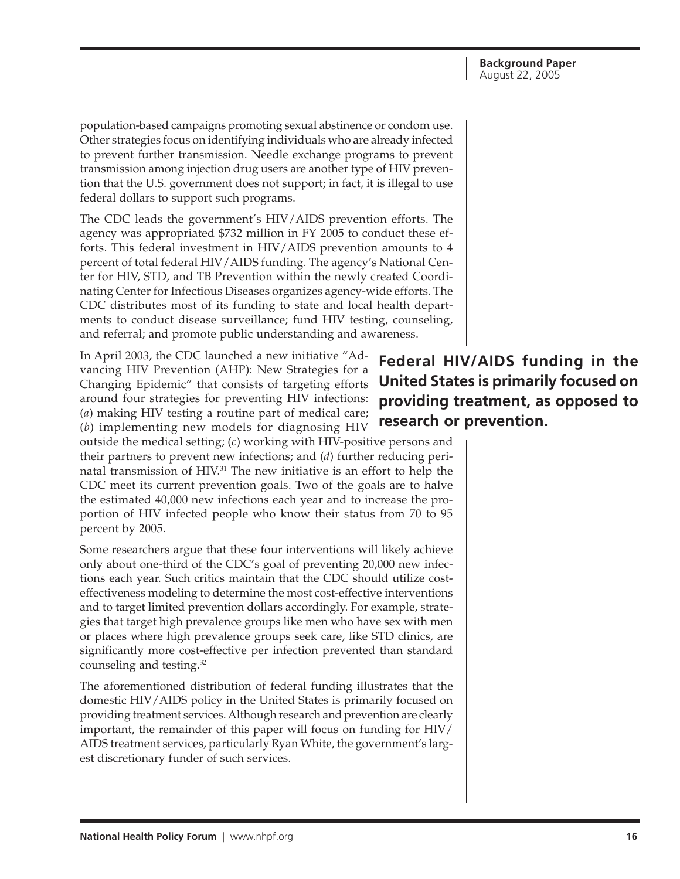population-based campaigns promoting sexual abstinence or condom use. Other strategies focus on identifying individuals who are already infected to prevent further transmission. Needle exchange programs to prevent transmission among injection drug users are another type of HIV prevention that the U.S. government does not support; in fact, it is illegal to use federal dollars to support such programs.

The CDC leads the government's HIV/AIDS prevention efforts. The agency was appropriated \$732 million in FY 2005 to conduct these efforts. This federal investment in HIV/AIDS prevention amounts to 4 percent of total federal HIV/AIDS funding. The agency's National Center for HIV, STD, and TB Prevention within the newly created Coordinating Center for Infectious Diseases organizes agency-wide efforts. The CDC distributes most of its funding to state and local health departments to conduct disease surveillance; fund HIV testing, counseling, and referral; and promote public understanding and awareness.

In April 2003, the CDC launched a new initiative "Advancing HIV Prevention (AHP): New Strategies for a Changing Epidemic" that consists of targeting efforts around four strategies for preventing HIV infections: (*a*) making HIV testing a routine part of medical care; (*b*) implementing new models for diagnosing HIV

outside the medical setting; (*c*) working with HIV-positive persons and their partners to prevent new infections; and (*d*) further reducing perinatal transmission of HIV.31 The new initiative is an effort to help the CDC meet its current prevention goals. Two of the goals are to halve the estimated 40,000 new infections each year and to increase the proportion of HIV infected people who know their status from 70 to 95 percent by 2005.

Some researchers argue that these four interventions will likely achieve only about one-third of the CDC's goal of preventing 20,000 new infections each year. Such critics maintain that the CDC should utilize costeffectiveness modeling to determine the most cost-effective interventions and to target limited prevention dollars accordingly. For example, strategies that target high prevalence groups like men who have sex with men or places where high prevalence groups seek care, like STD clinics, are significantly more cost-effective per infection prevented than standard counseling and testing.32

The aforementioned distribution of federal funding illustrates that the domestic HIV/AIDS policy in the United States is primarily focused on providing treatment services. Although research and prevention are clearly important, the remainder of this paper will focus on funding for HIV/ AIDS treatment services, particularly Ryan White, the government's largest discretionary funder of such services.

**Federal HIV/AIDS funding in the United States is primarily focused on providing treatment, as opposed to research or prevention.**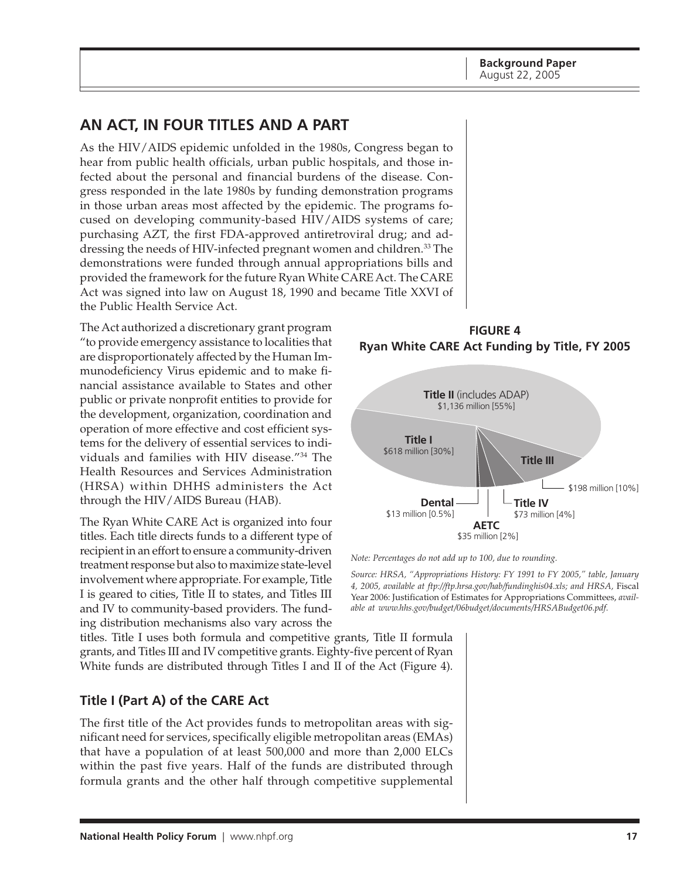**Background Paper** August 22, 2005

## <span id="page-16-0"></span>**AN ACT, IN FOUR TITLES AND A PART**

As the HIV/AIDS epidemic unfolded in the 1980s, Congress began to hear from public health officials, urban public hospitals, and those infected about the personal and financial burdens of the disease. Congress responded in the late 1980s by funding demonstration programs in those urban areas most affected by the epidemic. The programs focused on developing community-based HIV/AIDS systems of care; purchasing AZT, the first FDA-approved antiretroviral drug; and addressing the needs of HIV-infected pregnant women and children.<sup>33</sup> The demonstrations were funded through annual appropriations bills and provided the framework for the future Ryan White CARE Act. The CARE Act was signed into law on August 18, 1990 and became Title XXVI of the Public Health Service Act.

The Act authorized a discretionary grant program "to provide emergency assistance to localities that are disproportionately affected by the Human Immunodeficiency Virus epidemic and to make financial assistance available to States and other public or private nonprofit entities to provide for the development, organization, coordination and operation of more effective and cost efficient systems for the delivery of essential services to individuals and families with HIV disease."34 The Health Resources and Services Administration (HRSA) within DHHS administers the Act through the HIV/AIDS Bureau (HAB).

The Ryan White CARE Act is organized into four titles. Each title directs funds to a different type of recipient in an effort to ensure a community-driven treatment response but also to maximize state-level involvement where appropriate. For example, Title I is geared to cities, Title II to states, and Titles III and IV to community-based providers. The funding distribution mechanisms also vary across the

titles. Title I uses both formula and competitive grants, Title II formula grants, and Titles III and IV competitive grants. Eighty-five percent of Ryan White funds are distributed through Titles I and II of the Act (Figure 4).

#### **Title I (Part A) of the CARE Act**

The first title of the Act provides funds to metropolitan areas with significant need for services, specifically eligible metropolitan areas (EMAs) that have a population of at least 500,000 and more than 2,000 ELCs within the past five years. Half of the funds are distributed through formula grants and the other half through competitive supplemental

**FIGURE 4 Ryan White CARE Act Funding by Title, FY 2005**



*Note: Percentages do not add up to 100, due to rounding.*

*Source: HRSA, "Appropriations History: FY 1991 to FY 2005," table, January 4, 2005, available at ftp://ftp.hrsa.gov/hab/fundinghis04.xls; and HRSA,* Fiscal Year 2006: Justification of Estimates for Appropriations Committees, *available at www.hhs.gov/budget/06budget/documents/HRSABudget06.pdf.*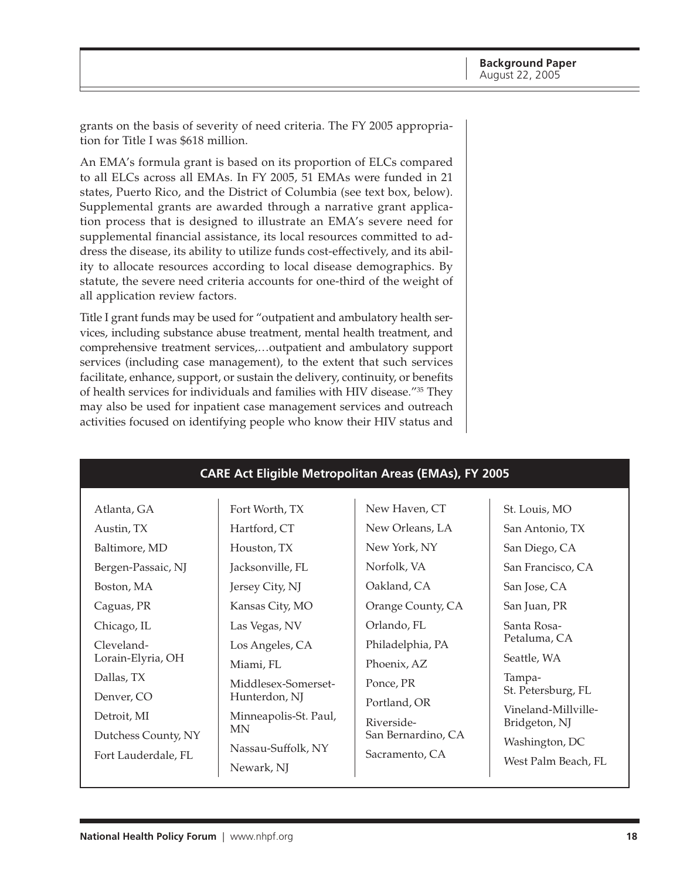grants on the basis of severity of need criteria. The FY 2005 appropriation for Title I was \$618 million.

An EMA's formula grant is based on its proportion of ELCs compared to all ELCs across all EMAs. In FY 2005, 51 EMAs were funded in 21 states, Puerto Rico, and the District of Columbia (see text box, below). Supplemental grants are awarded through a narrative grant application process that is designed to illustrate an EMA's severe need for supplemental financial assistance, its local resources committed to address the disease, its ability to utilize funds cost-effectively, and its ability to allocate resources according to local disease demographics. By statute, the severe need criteria accounts for one-third of the weight of all application review factors.

Title I grant funds may be used for "outpatient and ambulatory health services, including substance abuse treatment, mental health treatment, and comprehensive treatment services,…outpatient and ambulatory support services (including case management), to the extent that such services facilitate, enhance, support, or sustain the delivery, continuity, or benefits of health services for individuals and families with HIV disease."35 They may also be used for inpatient case management services and outreach activities focused on identifying people who know their HIV status and

| New Haven, CT<br>Fort Worth, TX<br>St. Louis, MO<br>Atlanta, GA<br>New Orleans, LA<br>Hartford, CT<br>San Antonio, TX<br>Austin, TX<br>New York, NY<br>Baltimore, MD<br>Houston, TX<br>San Diego, CA<br>Norfolk, VA<br>Bergen-Passaic, NJ<br>Jacksonville, FL<br>San Francisco, CA<br>Oakland, CA<br>San Jose, CA<br>Boston, MA<br>Jersey City, NJ<br>Orange County, CA<br>Kansas City, MO<br>Caguas, PR<br>San Juan, PR<br>Orlando, FL<br>Santa Rosa-<br>Chicago, IL<br>Las Vegas, NV<br>Petaluma, CA<br>Philadelphia, PA<br>Cleveland-<br>Los Angeles, CA<br>Seattle, WA<br>Lorain-Elyria, OH<br>Phoenix, AZ<br>Miami, FL<br>Dallas, TX<br>Tampa-<br>Ponce, PR<br>Middlesex-Somerset-<br>St. Petersburg, FL<br>Denver, CO<br>Hunterdon, NJ<br>Portland, OR<br>Vineland-Millville-<br>Detroit, MI<br>Minneapolis-St. Paul,<br>Riverside-<br>Bridgeton, NJ<br>MN<br>San Bernardino, CA<br>Dutchess County, NY<br>Washington, DC<br>Nassau-Suffolk, NY<br>Sacramento, CA<br>Fort Lauderdale, FL<br>West Palm Beach, FL<br>Newark, NJ | <b>CARE Act Eligible Metropolitan Areas (EMAs), FY 2005</b> |  |  |  |  |  |  |  |  |  |
|-------------------------------------------------------------------------------------------------------------------------------------------------------------------------------------------------------------------------------------------------------------------------------------------------------------------------------------------------------------------------------------------------------------------------------------------------------------------------------------------------------------------------------------------------------------------------------------------------------------------------------------------------------------------------------------------------------------------------------------------------------------------------------------------------------------------------------------------------------------------------------------------------------------------------------------------------------------------------------------------------------------------------------------|-------------------------------------------------------------|--|--|--|--|--|--|--|--|--|
|                                                                                                                                                                                                                                                                                                                                                                                                                                                                                                                                                                                                                                                                                                                                                                                                                                                                                                                                                                                                                                     |                                                             |  |  |  |  |  |  |  |  |  |

# **National Health Policy Forum** | www.nhpf.org **18**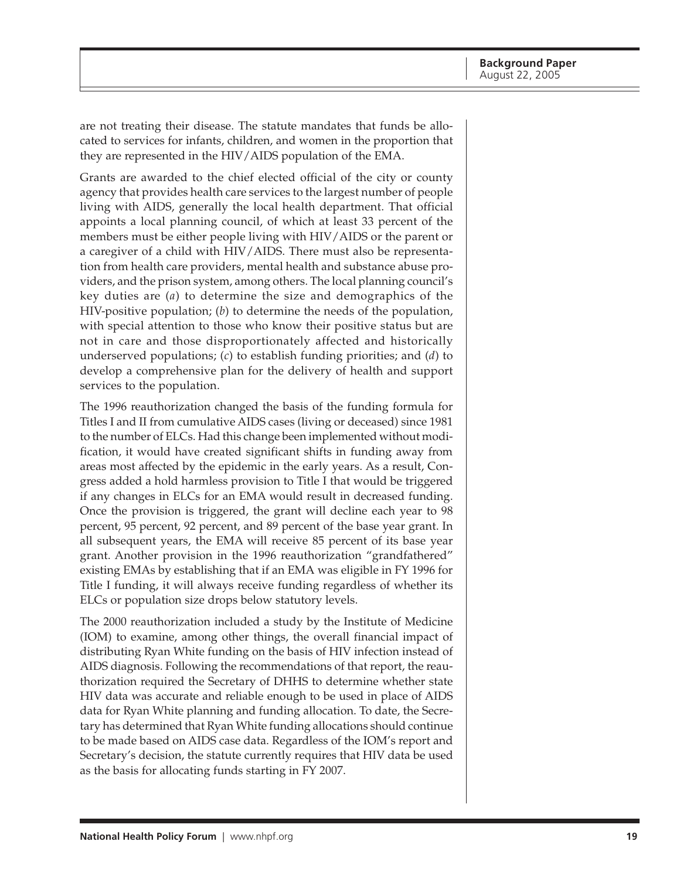are not treating their disease. The statute mandates that funds be allocated to services for infants, children, and women in the proportion that they are represented in the HIV/AIDS population of the EMA.

Grants are awarded to the chief elected official of the city or county agency that provides health care services to the largest number of people living with AIDS, generally the local health department. That official appoints a local planning council, of which at least 33 percent of the members must be either people living with HIV/AIDS or the parent or a caregiver of a child with HIV/AIDS. There must also be representation from health care providers, mental health and substance abuse providers, and the prison system, among others. The local planning council's key duties are (*a*) to determine the size and demographics of the HIV-positive population; (*b*) to determine the needs of the population, with special attention to those who know their positive status but are not in care and those disproportionately affected and historically underserved populations; (*c*) to establish funding priorities; and (*d*) to develop a comprehensive plan for the delivery of health and support services to the population.

The 1996 reauthorization changed the basis of the funding formula for Titles I and II from cumulative AIDS cases (living or deceased) since 1981 to the number of ELCs. Had this change been implemented without modification, it would have created significant shifts in funding away from areas most affected by the epidemic in the early years. As a result, Congress added a hold harmless provision to Title I that would be triggered if any changes in ELCs for an EMA would result in decreased funding. Once the provision is triggered, the grant will decline each year to 98 percent, 95 percent, 92 percent, and 89 percent of the base year grant. In all subsequent years, the EMA will receive 85 percent of its base year grant. Another provision in the 1996 reauthorization "grandfathered" existing EMAs by establishing that if an EMA was eligible in FY 1996 for Title I funding, it will always receive funding regardless of whether its ELCs or population size drops below statutory levels.

The 2000 reauthorization included a study by the Institute of Medicine (IOM) to examine, among other things, the overall financial impact of distributing Ryan White funding on the basis of HIV infection instead of AIDS diagnosis. Following the recommendations of that report, the reauthorization required the Secretary of DHHS to determine whether state HIV data was accurate and reliable enough to be used in place of AIDS data for Ryan White planning and funding allocation. To date, the Secretary has determined that Ryan White funding allocations should continue to be made based on AIDS case data. Regardless of the IOM's report and Secretary's decision, the statute currently requires that HIV data be used as the basis for allocating funds starting in FY 2007.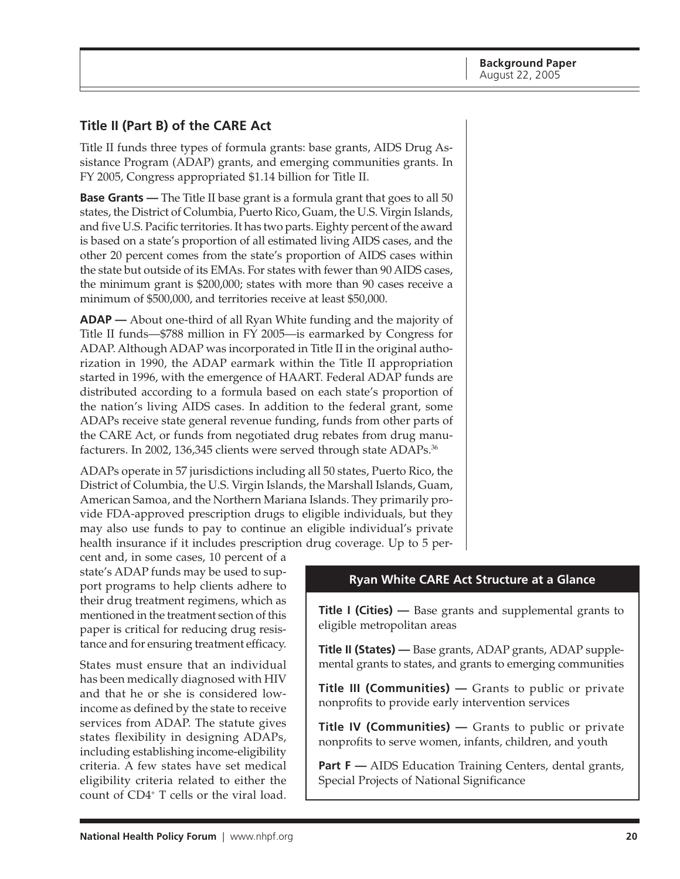## <span id="page-19-0"></span>**Title II (Part B) of the CARE Act**

Title II funds three types of formula grants: base grants, AIDS Drug Assistance Program (ADAP) grants, and emerging communities grants. In FY 2005, Congress appropriated \$1.14 billion for Title II.

**Base Grants** — The Title II base grant is a formula grant that goes to all 50 states, the District of Columbia, Puerto Rico, Guam, the U.S. Virgin Islands, and five U.S. Pacific territories. It has two parts. Eighty percent of the award is based on a state's proportion of all estimated living AIDS cases, and the other 20 percent comes from the state's proportion of AIDS cases within the state but outside of its EMAs. For states with fewer than 90 AIDS cases, the minimum grant is \$200,000; states with more than 90 cases receive a minimum of \$500,000, and territories receive at least \$50,000.

**ADAP —** About one-third of all Ryan White funding and the majority of Title II funds—\$788 million in FY 2005—is earmarked by Congress for ADAP. Although ADAP was incorporated in Title II in the original authorization in 1990, the ADAP earmark within the Title II appropriation started in 1996, with the emergence of HAART. Federal ADAP funds are distributed according to a formula based on each state's proportion of the nation's living AIDS cases. In addition to the federal grant, some ADAPs receive state general revenue funding, funds from other parts of the CARE Act, or funds from negotiated drug rebates from drug manufacturers. In 2002, 136,345 clients were served through state ADAPs.<sup>36</sup>

ADAPs operate in 57 jurisdictions including all 50 states, Puerto Rico, the District of Columbia, the U.S. Virgin Islands, the Marshall Islands, Guam, American Samoa, and the Northern Mariana Islands. They primarily provide FDA-approved prescription drugs to eligible individuals, but they may also use funds to pay to continue an eligible individual's private health insurance if it includes prescription drug coverage. Up to 5 per-

cent and, in some cases, 10 percent of a state's ADAP funds may be used to support programs to help clients adhere to their drug treatment regimens, which as mentioned in the treatment section of this paper is critical for reducing drug resistance and for ensuring treatment efficacy.

States must ensure that an individual has been medically diagnosed with HIV and that he or she is considered lowincome as defined by the state to receive services from ADAP. The statute gives states flexibility in designing ADAPs, including establishing income-eligibility criteria. A few states have set medical eligibility criteria related to either the count of CD4+ T cells or the viral load.

### **Ryan White CARE Act Structure at a Glance**

**Title I (Cities) —** Base grants and supplemental grants to eligible metropolitan areas

**Title II (States) —** Base grants, ADAP grants, ADAP supplemental grants to states, and grants to emerging communities

**Title III (Communities)** — Grants to public or private nonprofits to provide early intervention services

**Title IV (Communities) —** Grants to public or private nonprofits to serve women, infants, children, and youth

**Part F** — AIDS Education Training Centers, dental grants, Special Projects of National Significance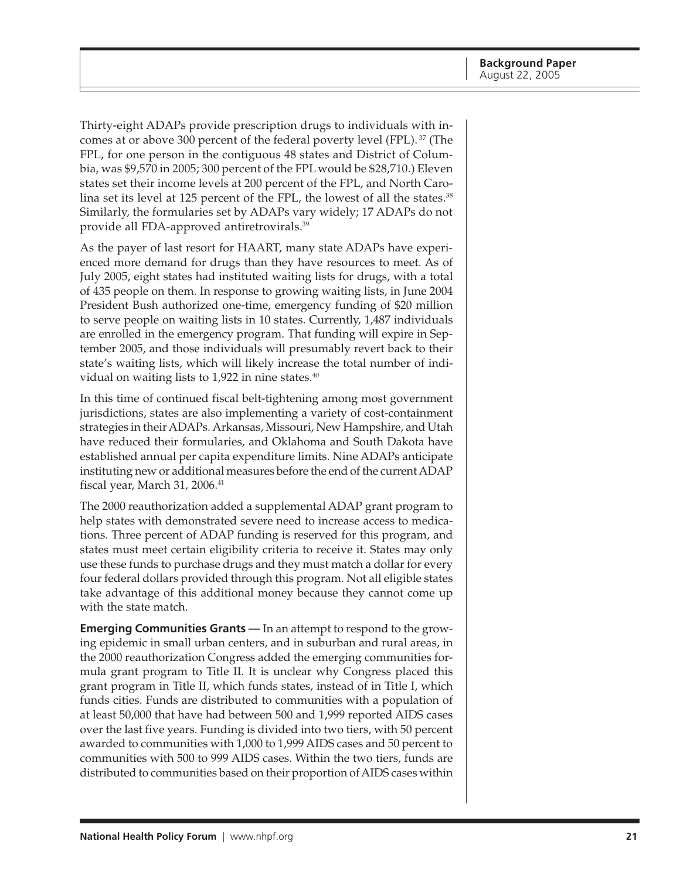Thirty-eight ADAPs provide prescription drugs to individuals with incomes at or above 300 percent of the federal poverty level (FPL). 37 (The FPL, for one person in the contiguous 48 states and District of Columbia, was \$9,570 in 2005; 300 percent of the FPL would be \$28,710.) Eleven states set their income levels at 200 percent of the FPL, and North Carolina set its level at 125 percent of the FPL, the lowest of all the states.<sup>38</sup> Similarly, the formularies set by ADAPs vary widely; 17 ADAPs do not provide all FDA-approved antiretrovirals.39

As the payer of last resort for HAART, many state ADAPs have experienced more demand for drugs than they have resources to meet. As of July 2005, eight states had instituted waiting lists for drugs, with a total of 435 people on them. In response to growing waiting lists, in June 2004 President Bush authorized one-time, emergency funding of \$20 million to serve people on waiting lists in 10 states. Currently, 1,487 individuals are enrolled in the emergency program. That funding will expire in September 2005, and those individuals will presumably revert back to their state's waiting lists, which will likely increase the total number of individual on waiting lists to  $1,922$  in nine states.<sup>40</sup>

In this time of continued fiscal belt-tightening among most government jurisdictions, states are also implementing a variety of cost-containment strategies in their ADAPs. Arkansas, Missouri, New Hampshire, and Utah have reduced their formularies, and Oklahoma and South Dakota have established annual per capita expenditure limits. Nine ADAPs anticipate instituting new or additional measures before the end of the current ADAP fiscal year, March 31,  $2006.<sup>41</sup>$ 

The 2000 reauthorization added a supplemental ADAP grant program to help states with demonstrated severe need to increase access to medications. Three percent of ADAP funding is reserved for this program, and states must meet certain eligibility criteria to receive it. States may only use these funds to purchase drugs and they must match a dollar for every four federal dollars provided through this program. Not all eligible states take advantage of this additional money because they cannot come up with the state match.

**Emerging Communities Grants —** In an attempt to respond to the growing epidemic in small urban centers, and in suburban and rural areas, in the 2000 reauthorization Congress added the emerging communities formula grant program to Title II. It is unclear why Congress placed this grant program in Title II, which funds states, instead of in Title I, which funds cities. Funds are distributed to communities with a population of at least 50,000 that have had between 500 and 1,999 reported AIDS cases over the last five years. Funding is divided into two tiers, with 50 percent awarded to communities with 1,000 to 1,999 AIDS cases and 50 percent to communities with 500 to 999 AIDS cases. Within the two tiers, funds are distributed to communities based on their proportion of AIDS cases within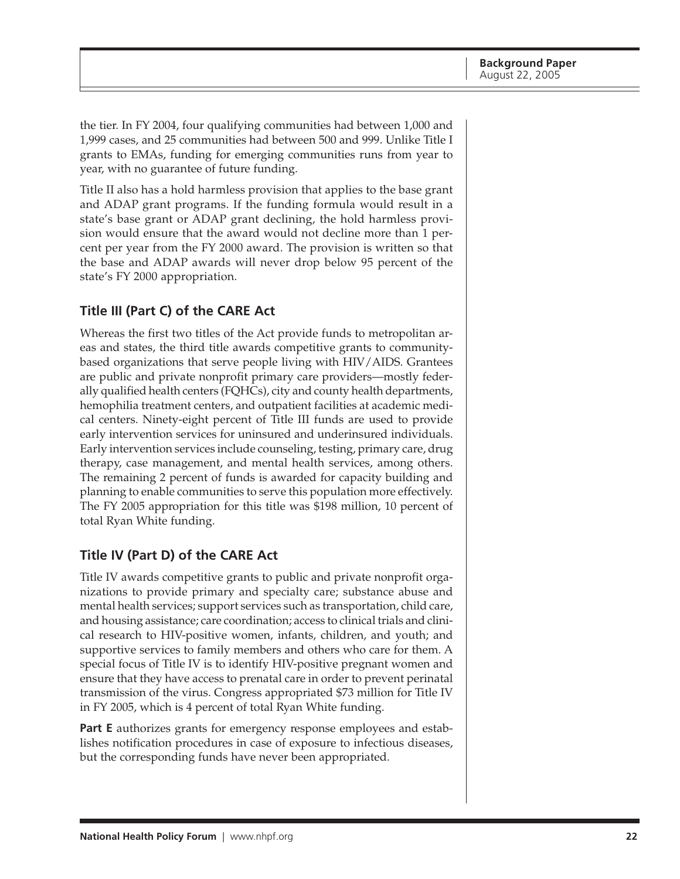<span id="page-21-0"></span>the tier. In FY 2004, four qualifying communities had between 1,000 and 1,999 cases, and 25 communities had between 500 and 999. Unlike Title I grants to EMAs, funding for emerging communities runs from year to year, with no guarantee of future funding.

Title II also has a hold harmless provision that applies to the base grant and ADAP grant programs. If the funding formula would result in a state's base grant or ADAP grant declining, the hold harmless provision would ensure that the award would not decline more than 1 percent per year from the FY 2000 award. The provision is written so that the base and ADAP awards will never drop below 95 percent of the state's FY 2000 appropriation.

### **Title III (Part C) of the CARE Act**

Whereas the first two titles of the Act provide funds to metropolitan areas and states, the third title awards competitive grants to communitybased organizations that serve people living with HIV/AIDS. Grantees are public and private nonprofit primary care providers—mostly federally qualified health centers (FQHCs), city and county health departments, hemophilia treatment centers, and outpatient facilities at academic medical centers. Ninety-eight percent of Title III funds are used to provide early intervention services for uninsured and underinsured individuals. Early intervention services include counseling, testing, primary care, drug therapy, case management, and mental health services, among others. The remaining 2 percent of funds is awarded for capacity building and planning to enable communities to serve this population more effectively. The FY 2005 appropriation for this title was \$198 million, 10 percent of total Ryan White funding.

### **Title IV (Part D) of the CARE Act**

Title IV awards competitive grants to public and private nonprofit organizations to provide primary and specialty care; substance abuse and mental health services; support services such as transportation, child care, and housing assistance; care coordination; access to clinical trials and clinical research to HIV-positive women, infants, children, and youth; and supportive services to family members and others who care for them. A special focus of Title IV is to identify HIV-positive pregnant women and ensure that they have access to prenatal care in order to prevent perinatal transmission of the virus. Congress appropriated \$73 million for Title IV in FY 2005, which is 4 percent of total Ryan White funding.

**Part E** authorizes grants for emergency response employees and establishes notification procedures in case of exposure to infectious diseases, but the corresponding funds have never been appropriated.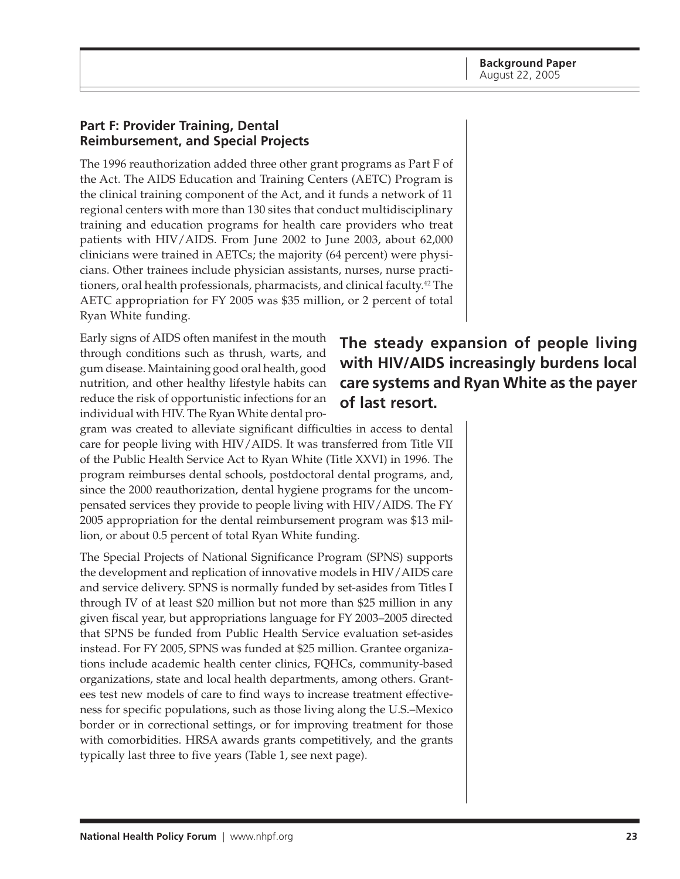#### <span id="page-22-0"></span>**Part F: Provider Training, Dental Reimbursement, and Special Projects**

The 1996 reauthorization added three other grant programs as Part F of the Act. The AIDS Education and Training Centers (AETC) Program is the clinical training component of the Act, and it funds a network of 11 regional centers with more than 130 sites that conduct multidisciplinary training and education programs for health care providers who treat patients with HIV/AIDS. From June 2002 to June 2003, about 62,000 clinicians were trained in AETCs; the majority (64 percent) were physicians. Other trainees include physician assistants, nurses, nurse practitioners, oral health professionals, pharmacists, and clinical faculty.42 The AETC appropriation for FY 2005 was \$35 million, or 2 percent of total Ryan White funding.

Early signs of AIDS often manifest in the mouth through conditions such as thrush, warts, and gum disease. Maintaining good oral health, good nutrition, and other healthy lifestyle habits can reduce the risk of opportunistic infections for an individual with HIV. The Ryan White dental pro-

# **The steady expansion of people living with HIV/AIDS increasingly burdens local care systems and Ryan White as the payer of last resort.**

gram was created to alleviate significant difficulties in access to dental care for people living with HIV/AIDS. It was transferred from Title VII of the Public Health Service Act to Ryan White (Title XXVI) in 1996. The program reimburses dental schools, postdoctoral dental programs, and, since the 2000 reauthorization, dental hygiene programs for the uncompensated services they provide to people living with HIV/AIDS. The FY 2005 appropriation for the dental reimbursement program was \$13 million, or about 0.5 percent of total Ryan White funding.

The Special Projects of National Significance Program (SPNS) supports the development and replication of innovative models in HIV/AIDS care and service delivery. SPNS is normally funded by set-asides from Titles I through IV of at least \$20 million but not more than \$25 million in any given fiscal year, but appropriations language for FY 2003–2005 directed that SPNS be funded from Public Health Service evaluation set-asides instead. For FY 2005, SPNS was funded at \$25 million. Grantee organizations include academic health center clinics, FQHCs, community-based organizations, state and local health departments, among others. Grantees test new models of care to find ways to increase treatment effectiveness for specific populations, such as those living along the U.S.–Mexico border or in correctional settings, or for improving treatment for those with comorbidities. HRSA awards grants competitively, and the grants typically last three to five years (Table 1, see next page).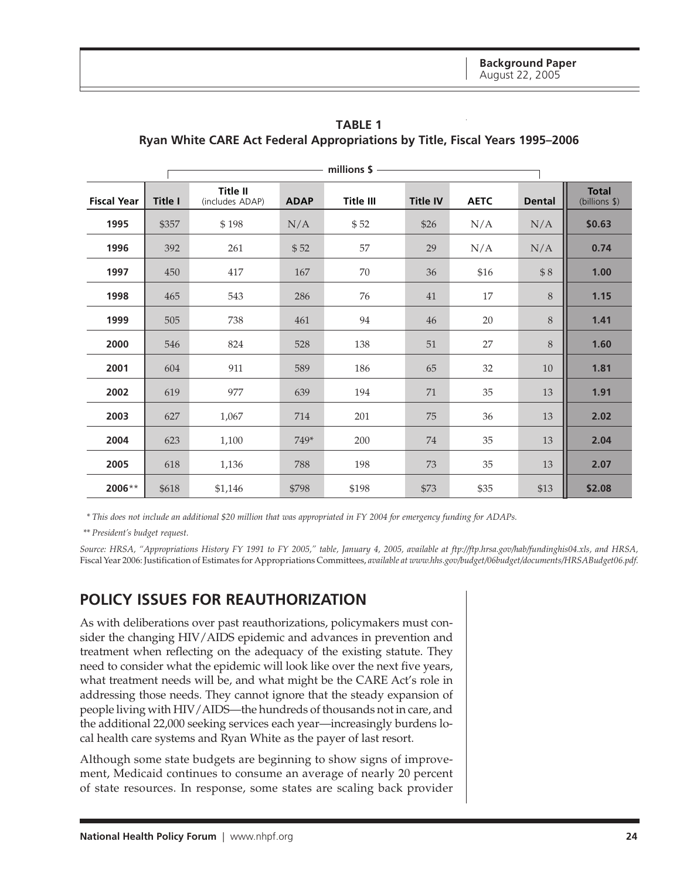|                    |                |                             |             | millions \$ |                 |             |               |                               |
|--------------------|----------------|-----------------------------|-------------|-------------|-----------------|-------------|---------------|-------------------------------|
| <b>Fiscal Year</b> | <b>Title I</b> | Title II<br>(includes ADAP) | <b>ADAP</b> | Title III   | <b>Title IV</b> | <b>AETC</b> | <b>Dental</b> | <b>Total</b><br>(billions \$) |
| 1995               | \$357          | \$198                       | N/A         | \$52        | \$26            | N/A         | N/A           | \$0.63                        |
| 1996               | 392            | 261                         | \$52        | 57          | 29              | N/A         | N/A           | 0.74                          |
| 1997               | 450            | 417                         | 167         | 70          | 36              | \$16        | \$8           | 1.00                          |
| 1998               | 465            | 543                         | 286         | 76          | 41              | 17          | 8             | 1.15                          |
| 1999               | 505            | 738                         | 461         | 94          | 46              | 20          | 8             | 1.41                          |
| 2000               | 546            | 824                         | 528         | 138         | 51              | 27          | $8\,$         | 1.60                          |
| 2001               | 604            | 911                         | 589         | 186         | 65              | 32          | 10            | 1.81                          |
| 2002               | 619            | 977                         | 639         | 194         | 71              | $35\,$      | 13            | 1.91                          |
| 2003               | 627            | 1,067                       | 714         | 201         | 75              | 36          | 13            | 2.02                          |
| 2004               | 623            | 1,100                       | 749*        | 200         | 74              | 35          | 13            | 2.04                          |
| 2005               | 618            | 1,136                       | 788         | 198         | 73              | 35          | 13            | 2.07                          |
| 2006**             | \$618          | \$1,146                     | \$798       | \$198       | \$73            | \$35        | \$13          | \$2.08                        |

<span id="page-23-0"></span>**TABLE 1 Ryan White CARE Act Federal Appropriations by Title, Fiscal Years 1995–2006**

*\* This does not include an additional \$20 million that was appropriated in FY 2004 for emergency funding for ADAPs.*

*\*\* President's budget request.*

*Source: HRSA, "Appropriations History FY 1991 to FY 2005," table, January 4, 2005, available at ftp://ftp.hrsa.gov/hab/fundinghis04.xls, and HRSA,* Fiscal Year 2006: Justification of Estimates for Appropriations Committees, *available at www.hhs.gov/budget/06budget/documents/HRSABudget06.pdf.*

# **POLICY ISSUES FOR REAUTHORIZATION**

As with deliberations over past reauthorizations, policymakers must consider the changing HIV/AIDS epidemic and advances in prevention and treatment when reflecting on the adequacy of the existing statute. They need to consider what the epidemic will look like over the next five years, what treatment needs will be, and what might be the CARE Act's role in addressing those needs. They cannot ignore that the steady expansion of people living with HIV/AIDS—the hundreds of thousands not in care, and the additional 22,000 seeking services each year—increasingly burdens local health care systems and Ryan White as the payer of last resort.

Although some state budgets are beginning to show signs of improvement, Medicaid continues to consume an average of nearly 20 percent of state resources. In response, some states are scaling back provider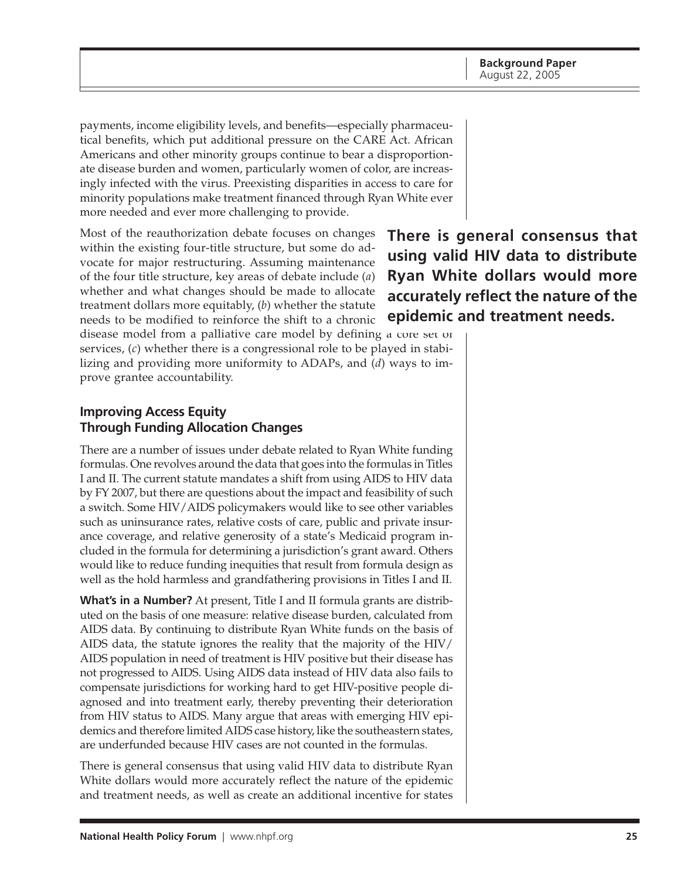<span id="page-24-0"></span>payments, income eligibility levels, and benefits—especially pharmaceutical benefits, which put additional pressure on the CARE Act. African Americans and other minority groups continue to bear a disproportionate disease burden and women, particularly women of color, are increasingly infected with the virus. Preexisting disparities in access to care for minority populations make treatment financed through Ryan White ever more needed and ever more challenging to provide.

Most of the reauthorization debate focuses on changes within the existing four-title structure, but some do advocate for major restructuring. Assuming maintenance of the four title structure, key areas of debate include (*a*) whether and what changes should be made to allocate treatment dollars more equitably, (*b*) whether the statute needs to be modified to reinforce the shift to a chronic disease model from a palliative care model by defining a core set of

services, (*c*) whether there is a congressional role to be played in stabilizing and providing more uniformity to ADAPs, and (*d*) ways to improve grantee accountability.

#### **Improving Access Equity Through Funding Allocation Changes**

There are a number of issues under debate related to Ryan White funding formulas. One revolves around the data that goes into the formulas in Titles I and II. The current statute mandates a shift from using AIDS to HIV data by FY 2007, but there are questions about the impact and feasibility of such a switch. Some HIV/AIDS policymakers would like to see other variables such as uninsurance rates, relative costs of care, public and private insurance coverage, and relative generosity of a state's Medicaid program included in the formula for determining a jurisdiction's grant award. Others would like to reduce funding inequities that result from formula design as well as the hold harmless and grandfathering provisions in Titles I and II.

**What's in a Number?** At present, Title I and II formula grants are distributed on the basis of one measure: relative disease burden, calculated from AIDS data. By continuing to distribute Ryan White funds on the basis of AIDS data, the statute ignores the reality that the majority of the HIV/ AIDS population in need of treatment is HIV positive but their disease has not progressed to AIDS. Using AIDS data instead of HIV data also fails to compensate jurisdictions for working hard to get HIV-positive people diagnosed and into treatment early, thereby preventing their deterioration from HIV status to AIDS. Many argue that areas with emerging HIV epidemics and therefore limited AIDS case history, like the southeastern states, are underfunded because HIV cases are not counted in the formulas.

There is general consensus that using valid HIV data to distribute Ryan White dollars would more accurately reflect the nature of the epidemic and treatment needs, as well as create an additional incentive for states

**There is general consensus that using valid HIV data to distribute Ryan White dollars would more accurately reflect the nature of the epidemic and treatment needs.**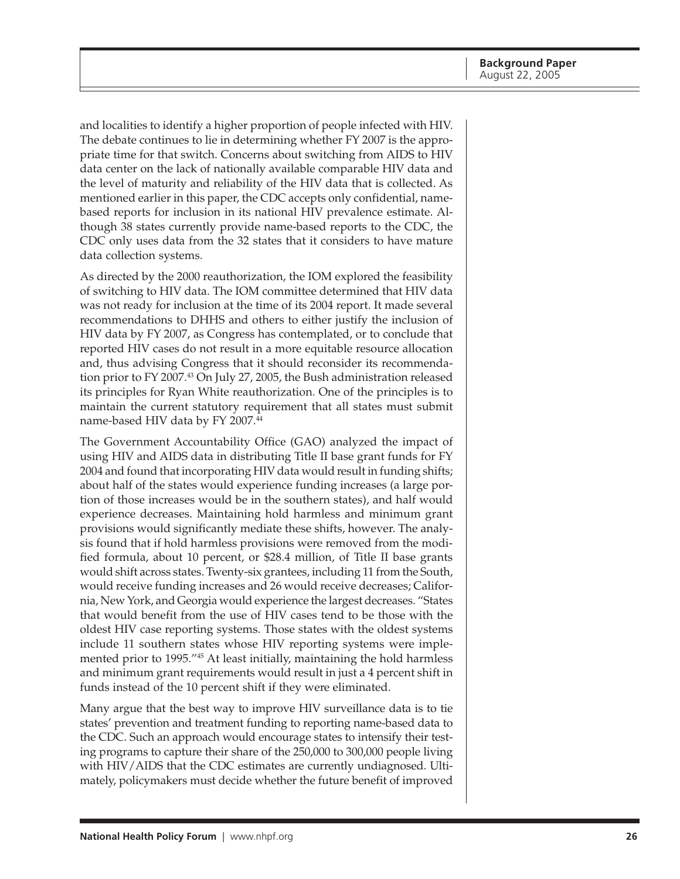and localities to identify a higher proportion of people infected with HIV. The debate continues to lie in determining whether FY 2007 is the appropriate time for that switch. Concerns about switching from AIDS to HIV data center on the lack of nationally available comparable HIV data and the level of maturity and reliability of the HIV data that is collected. As mentioned earlier in this paper, the CDC accepts only confidential, namebased reports for inclusion in its national HIV prevalence estimate. Although 38 states currently provide name-based reports to the CDC, the CDC only uses data from the 32 states that it considers to have mature data collection systems.

As directed by the 2000 reauthorization, the IOM explored the feasibility of switching to HIV data. The IOM committee determined that HIV data was not ready for inclusion at the time of its 2004 report. It made several recommendations to DHHS and others to either justify the inclusion of HIV data by FY 2007, as Congress has contemplated, or to conclude that reported HIV cases do not result in a more equitable resource allocation and, thus advising Congress that it should reconsider its recommendation prior to FY 2007.43 On July 27, 2005, the Bush administration released its principles for Ryan White reauthorization. One of the principles is to maintain the current statutory requirement that all states must submit name-based HIV data by FY 2007.<sup>44</sup>

The Government Accountability Office (GAO) analyzed the impact of using HIV and AIDS data in distributing Title II base grant funds for FY 2004 and found that incorporating HIV data would result in funding shifts; about half of the states would experience funding increases (a large portion of those increases would be in the southern states), and half would experience decreases. Maintaining hold harmless and minimum grant provisions would significantly mediate these shifts, however. The analysis found that if hold harmless provisions were removed from the modified formula, about 10 percent, or \$28.4 million, of Title II base grants would shift across states. Twenty-six grantees, including 11 from the South, would receive funding increases and 26 would receive decreases; California, New York, and Georgia would experience the largest decreases. "States that would benefit from the use of HIV cases tend to be those with the oldest HIV case reporting systems. Those states with the oldest systems include 11 southern states whose HIV reporting systems were implemented prior to 1995."45 At least initially, maintaining the hold harmless and minimum grant requirements would result in just a 4 percent shift in funds instead of the 10 percent shift if they were eliminated.

Many argue that the best way to improve HIV surveillance data is to tie states' prevention and treatment funding to reporting name-based data to the CDC. Such an approach would encourage states to intensify their testing programs to capture their share of the 250,000 to 300,000 people living with HIV/AIDS that the CDC estimates are currently undiagnosed. Ultimately, policymakers must decide whether the future benefit of improved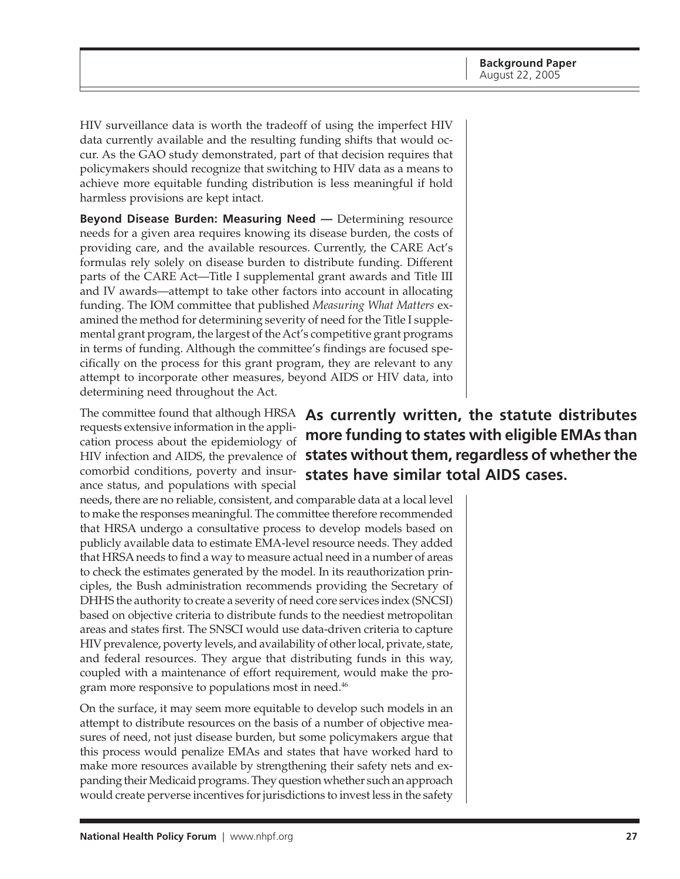HIV surveillance data is worth the tradeoff of using the imperfect HIV data currently available and the resulting funding shifts that would occur. As the GAO study demonstrated, part of that decision requires that policymakers should recognize that switching to HIV data as a means to achieve more equitable funding distribution is less meaningful if hold harmless provisions are kept intact.

**Beyond Disease Burden: Measuring Need —** Determining resource needs for a given area requires knowing its disease burden, the costs of providing care, and the available resources. Currently, the CARE Act's formulas rely solely on disease burden to distribute funding. Different parts of the CARE Act—Title I supplemental grant awards and Title III and IV awards—attempt to take other factors into account in allocating funding. The IOM committee that published *Measuring What Matters* examined the method for determining severity of need for the Title I supplemental grant program, the largest of the Act's competitive grant programs in terms of funding. Although the committee's findings are focused specifically on the process for this grant program, they are relevant to any attempt to incorporate other measures, beyond AIDS or HIV data, into determining need throughout the Act.

requests extensive information in the application process about the epidemiology of comorbid conditions, poverty and insurance status, and populations with special

needs, there are no reliable, consistent, and comparable data at a local level to make the responses meaningful. The committee therefore recommended that HRSA undergo a consultative process to develop models based on publicly available data to estimate EMA-level resource needs. They added that HRSA needs to find a way to measure actual need in a number of areas to check the estimates generated by the model. In its reauthorization principles, the Bush administration recommends providing the Secretary of DHHS the authority to create a severity of need core services index (SNCSI) based on objective criteria to distribute funds to the neediest metropolitan areas and states first. The SNSCI would use data-driven criteria to capture HIV prevalence, poverty levels, and availability of other local, private, state, and federal resources. They argue that distributing funds in this way, coupled with a maintenance of effort requirement, would make the program more responsive to populations most in need.46

On the surface, it may seem more equitable to develop such models in an attempt to distribute resources on the basis of a number of objective measures of need, not just disease burden, but some policymakers argue that this process would penalize EMAs and states that have worked hard to make more resources available by strengthening their safety nets and expanding their Medicaid programs. They question whether such an approach would create perverse incentives for jurisdictions to invest less in the safety

The committee found that although HRSA **As currently written, the statute distributes** HIV infection and AIDS, the prevalence of **states without them, regardless of whether the more funding to states with eligible EMAs than states have similar total AIDS cases.**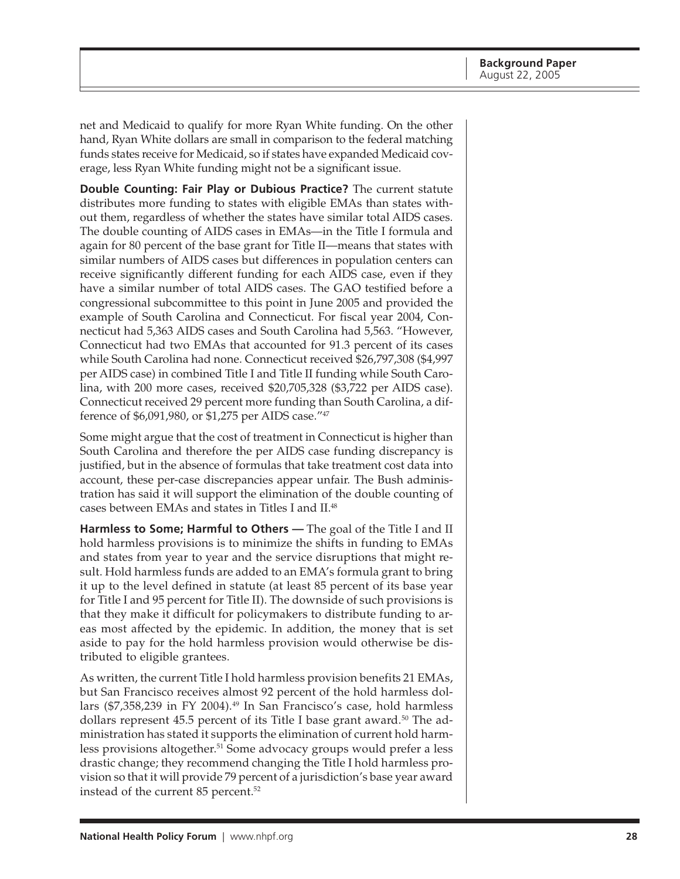net and Medicaid to qualify for more Ryan White funding. On the other hand, Ryan White dollars are small in comparison to the federal matching funds states receive for Medicaid, so if states have expanded Medicaid coverage, less Ryan White funding might not be a significant issue.

**Double Counting: Fair Play or Dubious Practice?** The current statute distributes more funding to states with eligible EMAs than states without them, regardless of whether the states have similar total AIDS cases. The double counting of AIDS cases in EMAs—in the Title I formula and again for 80 percent of the base grant for Title II—means that states with similar numbers of AIDS cases but differences in population centers can receive significantly different funding for each AIDS case, even if they have a similar number of total AIDS cases. The GAO testified before a congressional subcommittee to this point in June 2005 and provided the example of South Carolina and Connecticut. For fiscal year 2004, Connecticut had 5,363 AIDS cases and South Carolina had 5,563. "However, Connecticut had two EMAs that accounted for 91.3 percent of its cases while South Carolina had none. Connecticut received \$26,797,308 (\$4,997 per AIDS case) in combined Title I and Title II funding while South Carolina, with 200 more cases, received \$20,705,328 (\$3,722 per AIDS case). Connecticut received 29 percent more funding than South Carolina, a difference of \$6,091,980, or \$1,275 per AIDS case."47

Some might argue that the cost of treatment in Connecticut is higher than South Carolina and therefore the per AIDS case funding discrepancy is justified, but in the absence of formulas that take treatment cost data into account, these per-case discrepancies appear unfair. The Bush administration has said it will support the elimination of the double counting of cases between EMAs and states in Titles I and II.48

**Harmless to Some; Harmful to Others —** The goal of the Title I and II hold harmless provisions is to minimize the shifts in funding to EMAs and states from year to year and the service disruptions that might result. Hold harmless funds are added to an EMA's formula grant to bring it up to the level defined in statute (at least 85 percent of its base year for Title I and 95 percent for Title II). The downside of such provisions is that they make it difficult for policymakers to distribute funding to areas most affected by the epidemic. In addition, the money that is set aside to pay for the hold harmless provision would otherwise be distributed to eligible grantees.

As written, the current Title I hold harmless provision benefits 21 EMAs, but San Francisco receives almost 92 percent of the hold harmless dollars (\$7,358,239 in FY 2004).<sup>49</sup> In San Francisco's case, hold harmless dollars represent 45.5 percent of its Title I base grant award.<sup>50</sup> The administration has stated it supports the elimination of current hold harmless provisions altogether.<sup>51</sup> Some advocacy groups would prefer a less drastic change; they recommend changing the Title I hold harmless provision so that it will provide 79 percent of a jurisdiction's base year award instead of the current 85 percent.<sup>52</sup>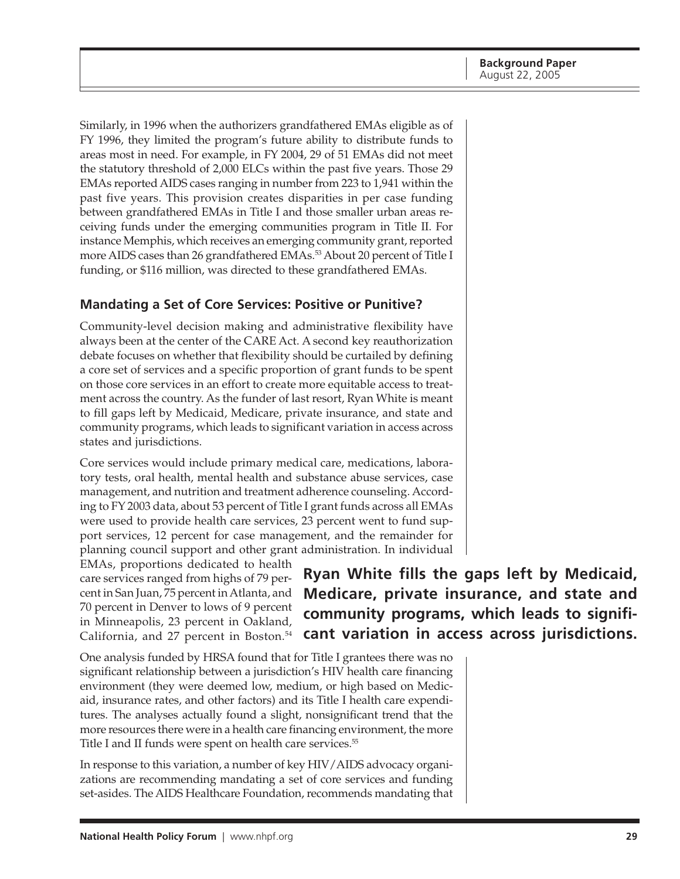<span id="page-28-0"></span>Similarly, in 1996 when the authorizers grandfathered EMAs eligible as of FY 1996, they limited the program's future ability to distribute funds to areas most in need. For example, in FY 2004, 29 of 51 EMAs did not meet the statutory threshold of 2,000 ELCs within the past five years. Those 29 EMAs reported AIDS cases ranging in number from 223 to 1,941 within the past five years. This provision creates disparities in per case funding between grandfathered EMAs in Title I and those smaller urban areas receiving funds under the emerging communities program in Title II. For instance Memphis, which receives an emerging community grant, reported more AIDS cases than 26 grandfathered EMAs.<sup>53</sup> About 20 percent of Title I funding, or \$116 million, was directed to these grandfathered EMAs.

#### **Mandating a Set of Core Services: Positive or Punitive?**

Community-level decision making and administrative flexibility have always been at the center of the CARE Act. A second key reauthorization debate focuses on whether that flexibility should be curtailed by defining a core set of services and a specific proportion of grant funds to be spent on those core services in an effort to create more equitable access to treatment across the country. As the funder of last resort, Ryan White is meant to fill gaps left by Medicaid, Medicare, private insurance, and state and community programs, which leads to significant variation in access across states and jurisdictions.

Core services would include primary medical care, medications, laboratory tests, oral health, mental health and substance abuse services, case management, and nutrition and treatment adherence counseling. According to FY 2003 data, about 53 percent of Title I grant funds across all EMAs were used to provide health care services, 23 percent went to fund support services, 12 percent for case management, and the remainder for planning council support and other grant administration. In individual

EMAs, proportions dedicated to health care services ranged from highs of 79 percent in San Juan, 75 percent in Atlanta, and 70 percent in Denver to lows of 9 percent in Minneapolis, 23 percent in Oakland, California, and 27 percent in Boston.<sup>54</sup>

**Ryan White fills the gaps left by Medicaid, Medicare, private insurance, and state and community programs, which leads to significant variation in access across jurisdictions.**

One analysis funded by HRSA found that for Title I grantees there was no significant relationship between a jurisdiction's HIV health care financing environment (they were deemed low, medium, or high based on Medicaid, insurance rates, and other factors) and its Title I health care expenditures. The analyses actually found a slight, nonsignificant trend that the more resources there were in a health care financing environment, the more Title I and II funds were spent on health care services.<sup>55</sup>

In response to this variation, a number of key HIV/AIDS advocacy organizations are recommending mandating a set of core services and funding set-asides. The AIDS Healthcare Foundation, recommends mandating that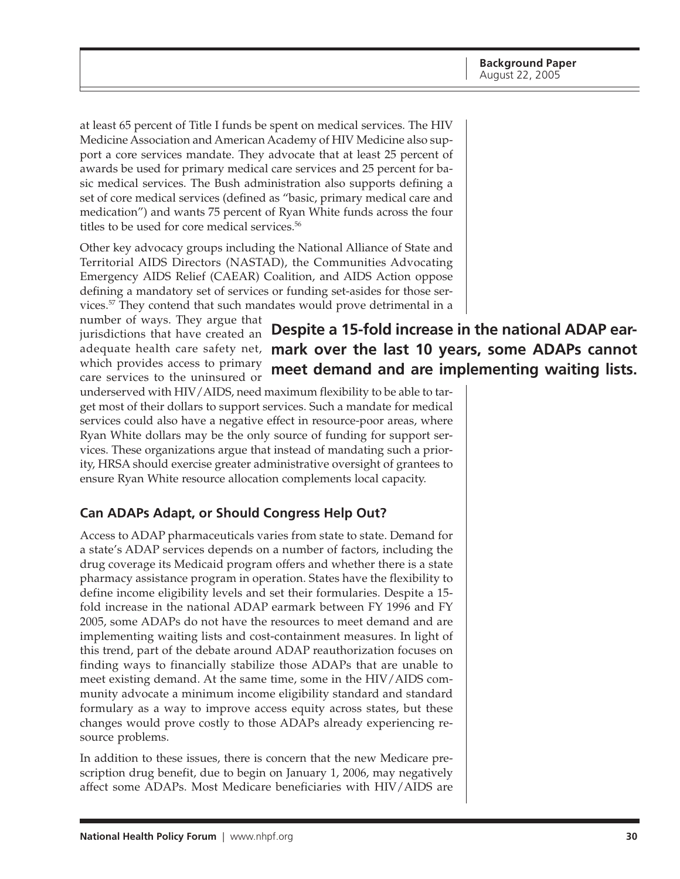<span id="page-29-0"></span>at least 65 percent of Title I funds be spent on medical services. The HIV Medicine Association and American Academy of HIV Medicine also support a core services mandate. They advocate that at least 25 percent of awards be used for primary medical care services and 25 percent for basic medical services. The Bush administration also supports defining a set of core medical services (defined as "basic, primary medical care and medication") and wants 75 percent of Ryan White funds across the four titles to be used for core medical services.<sup>56</sup>

Other key advocacy groups including the National Alliance of State and Territorial AIDS Directors (NASTAD), the Communities Advocating Emergency AIDS Relief (CAEAR) Coalition, and AIDS Action oppose defining a mandatory set of services or funding set-asides for those services.57 They contend that such mandates would prove detrimental in a

number of ways. They argue that jurisdictions that have created an which provides access to primary care services to the uninsured or

adequate health care safety net, **mark over the last 10 years, some ADAPs cannot Despite a 15-fold increase in the national ADAP earmeet demand and are implementing waiting lists.**

underserved with HIV/AIDS, need maximum flexibility to be able to target most of their dollars to support services. Such a mandate for medical services could also have a negative effect in resource-poor areas, where Ryan White dollars may be the only source of funding for support services. These organizations argue that instead of mandating such a priority, HRSA should exercise greater administrative oversight of grantees to ensure Ryan White resource allocation complements local capacity.

### **Can ADAPs Adapt, or Should Congress Help Out?**

Access to ADAP pharmaceuticals varies from state to state. Demand for a state's ADAP services depends on a number of factors, including the drug coverage its Medicaid program offers and whether there is a state pharmacy assistance program in operation. States have the flexibility to define income eligibility levels and set their formularies. Despite a 15 fold increase in the national ADAP earmark between FY 1996 and FY 2005, some ADAPs do not have the resources to meet demand and are implementing waiting lists and cost-containment measures. In light of this trend, part of the debate around ADAP reauthorization focuses on finding ways to financially stabilize those ADAPs that are unable to meet existing demand. At the same time, some in the HIV/AIDS community advocate a minimum income eligibility standard and standard formulary as a way to improve access equity across states, but these changes would prove costly to those ADAPs already experiencing resource problems.

In addition to these issues, there is concern that the new Medicare prescription drug benefit, due to begin on January 1, 2006, may negatively affect some ADAPs. Most Medicare beneficiaries with HIV/AIDS are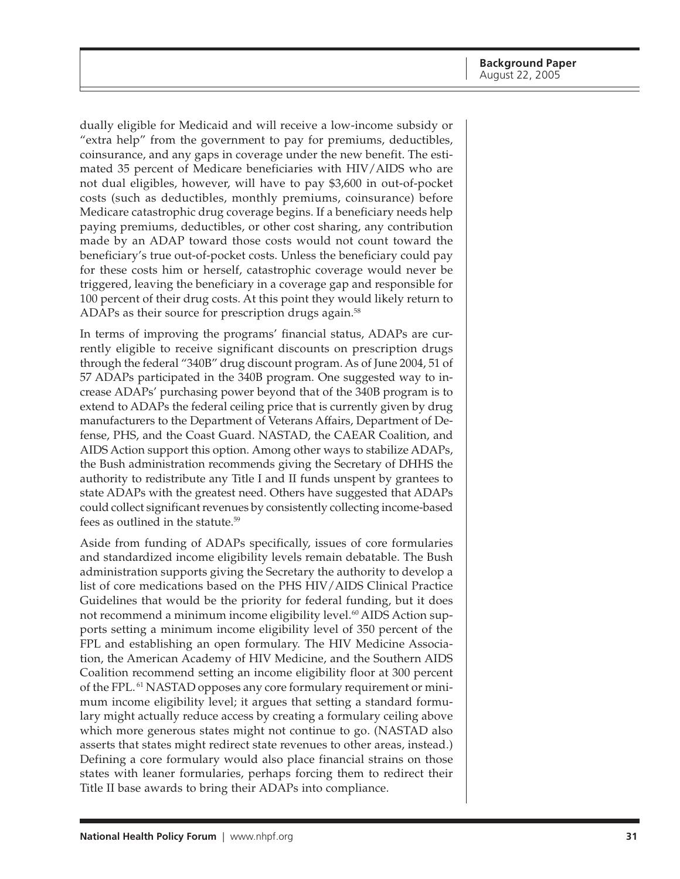dually eligible for Medicaid and will receive a low-income subsidy or "extra help" from the government to pay for premiums, deductibles, coinsurance, and any gaps in coverage under the new benefit. The estimated 35 percent of Medicare beneficiaries with HIV/AIDS who are not dual eligibles, however, will have to pay \$3,600 in out-of-pocket costs (such as deductibles, monthly premiums, coinsurance) before Medicare catastrophic drug coverage begins. If a beneficiary needs help paying premiums, deductibles, or other cost sharing, any contribution made by an ADAP toward those costs would not count toward the beneficiary's true out-of-pocket costs. Unless the beneficiary could pay for these costs him or herself, catastrophic coverage would never be triggered, leaving the beneficiary in a coverage gap and responsible for 100 percent of their drug costs. At this point they would likely return to ADAPs as their source for prescription drugs again.<sup>58</sup>

In terms of improving the programs' financial status, ADAPs are currently eligible to receive significant discounts on prescription drugs through the federal "340B" drug discount program. As of June 2004, 51 of 57 ADAPs participated in the 340B program. One suggested way to increase ADAPs' purchasing power beyond that of the 340B program is to extend to ADAPs the federal ceiling price that is currently given by drug manufacturers to the Department of Veterans Affairs, Department of Defense, PHS, and the Coast Guard. NASTAD, the CAEAR Coalition, and AIDS Action support this option. Among other ways to stabilize ADAPs, the Bush administration recommends giving the Secretary of DHHS the authority to redistribute any Title I and II funds unspent by grantees to state ADAPs with the greatest need. Others have suggested that ADAPs could collect significant revenues by consistently collecting income-based fees as outlined in the statute.59

Aside from funding of ADAPs specifically, issues of core formularies and standardized income eligibility levels remain debatable. The Bush administration supports giving the Secretary the authority to develop a list of core medications based on the PHS HIV/AIDS Clinical Practice Guidelines that would be the priority for federal funding, but it does not recommend a minimum income eligibility level.<sup>60</sup> AIDS Action supports setting a minimum income eligibility level of 350 percent of the FPL and establishing an open formulary. The HIV Medicine Association, the American Academy of HIV Medicine, and the Southern AIDS Coalition recommend setting an income eligibility floor at 300 percent of the FPL. 61 NASTAD opposes any core formulary requirement or minimum income eligibility level; it argues that setting a standard formulary might actually reduce access by creating a formulary ceiling above which more generous states might not continue to go. (NASTAD also asserts that states might redirect state revenues to other areas, instead.) Defining a core formulary would also place financial strains on those states with leaner formularies, perhaps forcing them to redirect their Title II base awards to bring their ADAPs into compliance.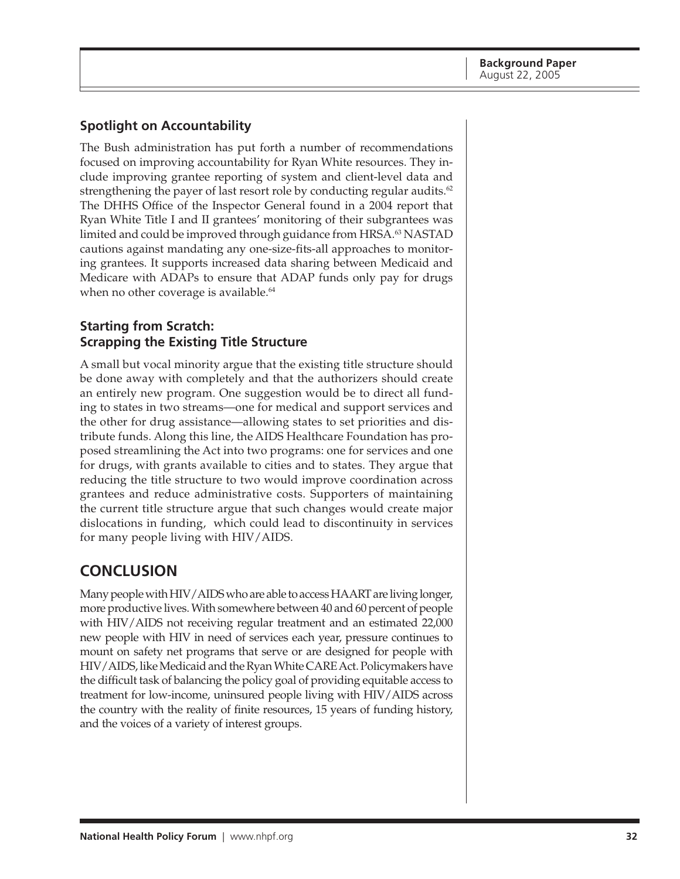### <span id="page-31-0"></span>**Spotlight on Accountability**

The Bush administration has put forth a number of recommendations focused on improving accountability for Ryan White resources. They include improving grantee reporting of system and client-level data and strengthening the payer of last resort role by conducting regular audits. $62$ The DHHS Office of the Inspector General found in a 2004 report that Ryan White Title I and II grantees' monitoring of their subgrantees was limited and could be improved through guidance from HRSA.<sup>63</sup> NASTAD cautions against mandating any one-size-fits-all approaches to monitoring grantees. It supports increased data sharing between Medicaid and Medicare with ADAPs to ensure that ADAP funds only pay for drugs when no other coverage is available.<sup>64</sup>

#### **Starting from Scratch: Scrapping the Existing Title Structure**

A small but vocal minority argue that the existing title structure should be done away with completely and that the authorizers should create an entirely new program. One suggestion would be to direct all funding to states in two streams—one for medical and support services and the other for drug assistance—allowing states to set priorities and distribute funds. Along this line, the AIDS Healthcare Foundation has proposed streamlining the Act into two programs: one for services and one for drugs, with grants available to cities and to states. They argue that reducing the title structure to two would improve coordination across grantees and reduce administrative costs. Supporters of maintaining the current title structure argue that such changes would create major dislocations in funding, which could lead to discontinuity in services for many people living with HIV/AIDS.

## **CONCLUSION**

Many people with HIV/AIDS who are able to access HAART are living longer, more productive lives. With somewhere between 40 and 60 percent of people with HIV/AIDS not receiving regular treatment and an estimated 22,000 new people with HIV in need of services each year, pressure continues to mount on safety net programs that serve or are designed for people with HIV/AIDS, like Medicaid and the Ryan White CARE Act. Policymakers have the difficult task of balancing the policy goal of providing equitable access to treatment for low-income, uninsured people living with HIV/AIDS across the country with the reality of finite resources, 15 years of funding history, and the voices of a variety of interest groups.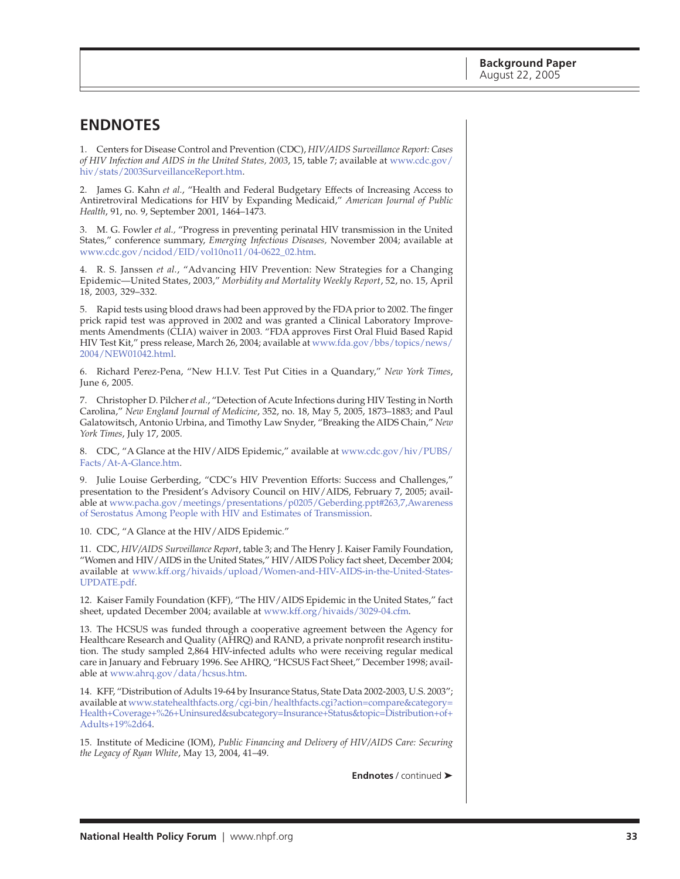### <span id="page-32-0"></span>**ENDNOTES**

1. Centers for Disease Control and Prevention (CDC), *HIV/AIDS Surveillance Report: Cases of HIV Infection and AIDS in the United States, 2003*, 15, table 7; available at [www.cdc.gov/](http://www.cdc.gov/hiv/stats/2003SurveillanceReport.htm) hiv/stats/2003SurveillanceReport.htm.

2. James G. Kahn *et al.*, "Health and Federal Budgetary Effects of Increasing Access to Antiretroviral Medications for HIV by Expanding Medicaid," *American Journal of Public Health*, 91, no. 9, September 2001, 1464–1473.

3. M. G. Fowler *et al.,* "Progress in preventing perinatal HIV transmission in the United States," conference summary, *Emerging Infectious Diseases,* November 2004; available at [www.cdc.gov/ncidod/EID/vol10no11/04-0622\\_02.htm.](http://www.cdc.gov/ncidod/EID/vol10no11/04-0622_02.htm)

4. R. S. Janssen *et al.*, "Advancing HIV Prevention: New Strategies for a Changing Epidemic—United States, 2003," *Morbidity and Mortality Weekly Report*, 52, no. 15, April 18, 2003, 329–332.

5. Rapid tests using blood draws had been approved by the FDA prior to 2002. The finger prick rapid test was approved in 2002 and was granted a Clinical Laboratory Improvements Amendments (CLIA) waiver in 2003. "FDA approves First Oral Fluid Based Rapid HIV Test Kit," press release, March 26, 2004; available at [www.fda.gov/bbs/topics/news/](http://www.fda.gov/bbs/topics/news/2004/NEW01042.html) 2004/NEW01042.html.

6. Richard Perez-Pena, "New H.I.V. Test Put Cities in a Quandary," *New York Times*, June 6, 2005.

7. Christopher D. Pilcher *et al.*, "Detection of Acute Infections during HIV Testing in North Carolina," *New England Journal of Medicine*, 352, no. 18, May 5, 2005, 1873–1883; and Paul Galatowitsch, Antonio Urbina, and Timothy Law Snyder, "Breaking the AIDS Chain," *New York Times*, July 17, 2005.

8. CDC, "A Glance at the HIV/AIDS Epidemic," available at [www.cdc.gov/hiv/PUBS/](http://www.cdc.gov/hiv/PUBS/Facts/At-A-Glance.htm) Facts/At-A-Glance.htm.

9. Julie Louise Gerberding, "CDC's HIV Prevention Efforts: Success and Challenges," presentation to the President's Advisory Council on HIV/AIDS, February 7, 2005; available at [www.pacha.gov/meetings/presentations/p0205/Geberding.ppt#263,7,Awareness](http://www.pacha.gov/meetings/presentations/p0205/Geberding.ppt#263,7,Awareness of Serostatus Among People  with HIV and Estimates of Transmission) of Serostatus Among People with HIV and Estimates of Transmission.

10. CDC, "A Glance at the HIV/AIDS Epidemic."

11. CDC, *HIV/AIDS Surveillance Report*, table 3; and The Henry J. Kaiser Family Foundation, "Women and HIV/AIDS in the United States," HIV/AIDS Policy fact sheet, December 2004; available at [www.kff.org/hivaids/upload/Women-and-HIV-AIDS-in-the-United-States-](http://www.kff.org/hivaids/upload/Women-and-HIV-AIDS-in-the-United-States-UPDATE.pdf)UPDATE.pdf.

12. Kaiser Family Foundation (KFF), "The HIV/AIDS Epidemic in the United States," fact sheet, updated December 2004; available at [www.kff.org/hivaids/3029-04.cfm.](http://www.kff.org/hivaids/3029-04.cfm)

13. The HCSUS was funded through a cooperative agreement between the Agency for Healthcare Research and Quality (AHRQ) and RAND, a private nonprofit research institution. The study sampled 2,864 HIV-infected adults who were receiving regular medical care in January and February 1996. See AHRQ, "HCSUS Fact Sheet," December 1998; available at [www.ahrq.gov/data/hcsus.htm.](http://www.ahrq.gov/data/hcsus.htm)

14. KFF, "Distribution of Adults 19-64 by Insurance Status, State Data 2002-2003, U.S. 2003"; available at www.statehealthfacts.org/cgi-bin/healthfacts.cgi?action=compare&category= Health+Co[verage+%26+Uninsured&subcategory=Insurance+Status&topic=Distribution+of+](http://www.statehealthfacts.org/cgi-bin/healthfacts.cgi?action=compare&category=Health+Coverage+%26+Uninsured&subcategory=Insurance+Status&topic=Distribution+of+Adults+19%2d64) Adults+19%2d64.

15. Institute of Medicine (IOM), *Public Financing and Delivery of HIV/AIDS Care: Securing the Legacy of Ryan White*, May 13, 2004, 41–49.

**Endnotes** / continued ➤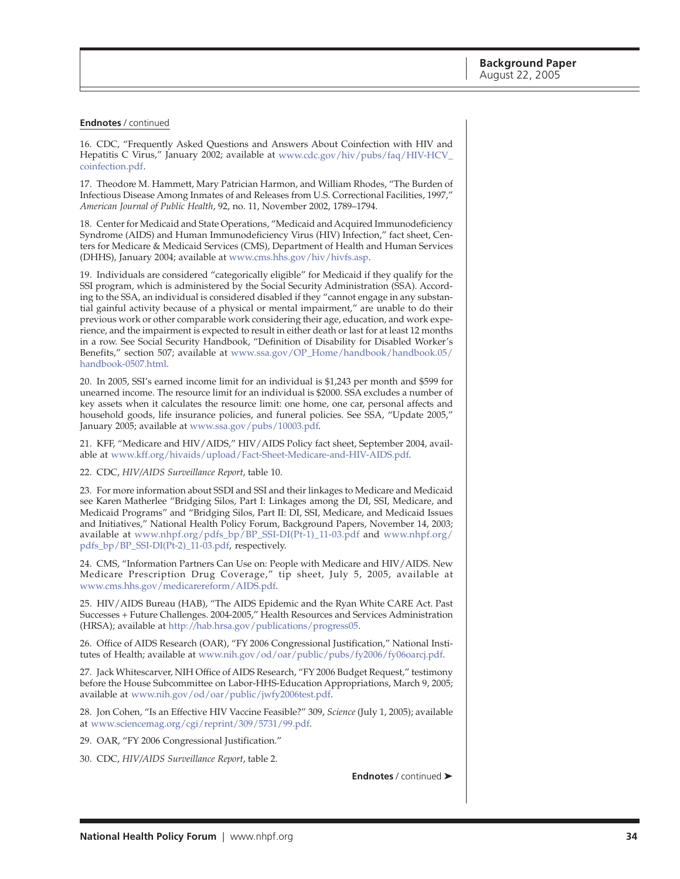#### **Endnotes** / continued

16. CDC, "Frequently Asked Questions and Answers About Coinfection with HIV and Hepatitis C Virus," January 2002; available at [www.cdc.gov/hiv/pubs/faq/HIV-HCV\\_](http://www.cdc.gov/hiv/pubs/faq/HIV-HCV_coinfection.pdf) coinfection.pdf.

17. Theodore M. Hammett, Mary Patrician Harmon, and William Rhodes, "The Burden of Infectious Disease Among Inmates of and Releases from U.S. Correctional Facilities, 1997," *American Journal of Public Health*, 92, no. 11, November 2002, 1789–1794.

18. Center for Medicaid and State Operations, "Medicaid and Acquired Immunodeficiency Syndrome (AIDS) and Human Immunodeficiency Virus (HIV) Infection," fact sheet, Centers for Medicare & Medicaid Services (CMS), Department of Health and Human Services (DHHS), January 2004; available at [www.cms.hhs.gov/hiv/hivfs.asp.](http://www.cms.hhs.gov/hiv/hivfs.asp)

19. Individuals are considered "categorically eligible" for Medicaid if they qualify for the SSI program, which is administered by the Social Security Administration (SSA). According to the SSA, an individual is considered disabled if they "cannot engage in any substantial gainful activity because of a physical or mental impairment," are unable to do their previous work or other comparable work considering their age, education, and work experience, and the impairment is expected to result in either death or last for at least 12 months in a row. See Social Security Handbook, "Definition of Disability for Disabled Worker's Benefits," section 507; available at [www.ssa.gov/OP\\_Home/handbook/handbook.05/](http://www.ssa.gov/OP_Home/handbook/handbook.05/handbook-0507.html) handbook-0507.html.

20. In 2005, SSI's earned income limit for an individual is \$1,243 per month and \$599 for unearned income. The resource limit for an individual is \$2000. SSA excludes a number of key assets when it calculates the resource limit: one home, one car, personal affects and household goods, life insurance policies, and funeral policies. See SSA, "Update 2005," January 2005; available at [www.ssa.gov/pubs/10003.pdf.](http://www.ssa.gov/pubs/10003.pdf)

21. KFF, "Medicare and HIV/AIDS," HIV/AIDS Policy fact sheet, September 2004, available at [www.kff.org/hivaids/upload/Fact-Sheet-Medicare-and-HIV-AIDS.pdf.](http://www.kff.org/hivaids/upload/Fact-Sheet-Medicare-and-HIV-AIDS.pdf)

#### 22. CDC, *HIV/AIDS Surveillance Report*, table 10.

23. For more information about SSDI and SSI and their linkages to Medicare and Medicaid see Karen Matherlee "Bridging Silos, Part I: Linkages among the DI, SSI, Medicare, and Medicaid Programs" and "Bridging Silos, Part II: DI, SSI, Medicare, and Medicaid Issues and Initiatives," National Health Policy Forum, Background Papers, November 14, 2003; available at [www.nhpf.org/pdfs\\_bp/BP\\_SSI-DI\(Pt-1\)\\_11-03.pdf](http://www.nhpf.org/pdfs_bp/BP_SSI-DI(Pt-1)_11-03.pdf) and [www.nhpf.org/](http://www.nhpf.org/pdfs_bp/BP_SSI-DI(Pt-2)_11-03.pdf) pdfs\_bp/BP\_SSI-DI(Pt-2)\_11-03.pdf, respectively.

24. CMS, "Information Partners Can Use on: People with Medicare and HIV/AIDS. New Medicare Prescription Drug Coverage," tip sheet, July 5, 2005, available at [www.cms.hhs.gov/medicarereform/AIDS.pdf.](http://www.cms.hhs.gov/medicarereform/AIDS.pdf)

25. HIV/AIDS Bureau (HAB), "The AIDS Epidemic and the Ryan White CARE Act. Past Successes + Future Challenges. 2004-2005," Health Resources and Services Administration (HRSA); available a[t http://hab.hrsa.gov/publications/progress05.](http://hab.hrsa.gov/publications/progress05)

26. Office of AIDS Research (OAR), "FY 2006 Congressional Justification," National Institutes of Health; available at [www.nih.gov/od/oar/public/pubs/fy2006/fy06oarcj.pdf.](http://www.nih.gov/od/oar/public/pubs/fy2006/fy06oarcj.pdf)

27. Jack Whitescarver, NIH Office of AIDS Research, "FY 2006 Budget Request," testimony before the House Subcommittee on Labor-HHS-Education Appropriations, March 9, 2005; available at [www.nih.gov/od/oar/public/jwfy2006test.pdf.](http://www.nih.gov/od/oar/public/jwfy2006test.pdf)

28. Jon Cohen, "Is an Effective HIV Vaccine Feasible?" 309, *Science* (July 1, 2005); available at [www.sciencemag.org/cgi/reprint/309/5731/99.pdf.](http://www.sciencemag.org/cgi/reprint/309/5731/99.pdf)

- 29. OAR, "FY 2006 Congressional Justification."
- 30. CDC, *HIV/AIDS Surveillance Report*, table 2.

**Endnotes** / continued ➤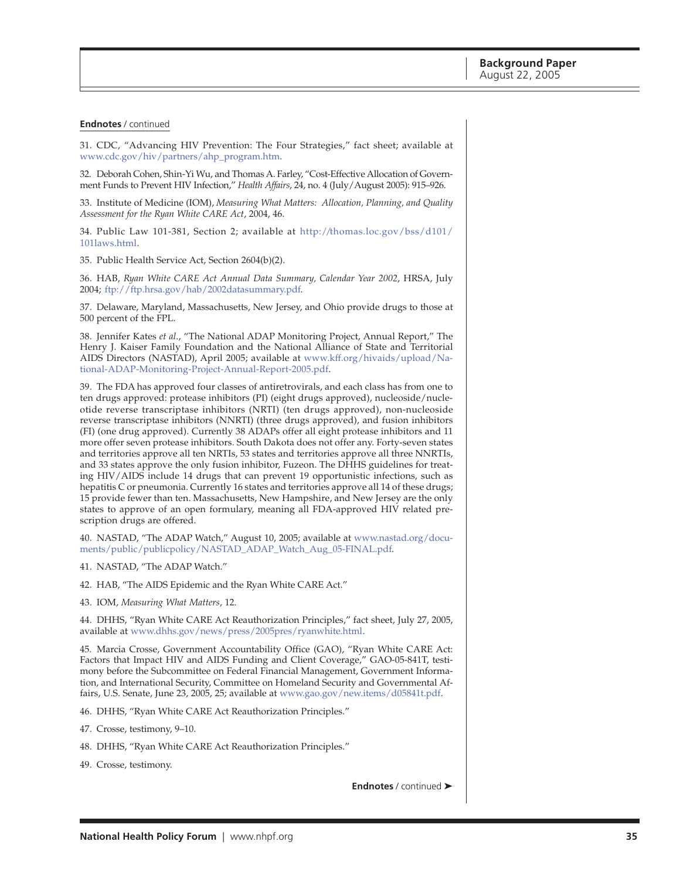#### **Endnotes** / continued

31. CDC, "Advancing HIV Prevention: The Four Strategies," fact sheet; available at [www.cdc.gov/hiv/partners/ahp\\_program.htm.](http://www.cdc.gov/hiv/partners/ahp_program.htm)

32. Deborah Cohen, Shin-Yi Wu, and Thomas A. Farley, "Cost-Effective Allocation of Government Funds to Prevent HIV Infection," *Health Affairs*, 24, no. 4 (July/August 2005): 915–926.

33. Institute of Medicine (IOM), *Measuring What Matters: Allocation, Planning, and Quality Assessment for the Ryan White CARE Act*, 2004, 46.

34. Public Law 101-381, Section 2; available a[t http://thomas.loc.gov/bss/d101/](http://thomas.loc.gov/bss/d101/d101laws.html) 101laws.html.

35. Public Health Service Act, Section 2604(b)(2).

36. HAB, *Ryan White CARE Act Annual Data Summary, Calendar Year 2002*, HRSA, July 2004; [ftp://ftp.hrsa.gov/hab/2002datasummary.pdf.](ftp://ftp.hrsa.gov/hab/2002datasummary.pdf)

37. Delaware, Maryland, Massachusetts, New Jersey, and Ohio provide drugs to those at 500 percent of the FPL.

38. Jennifer Kates *et al*., "The National ADAP Monitoring Project, Annual Report," The Henry J. Kaiser Family Foundation and the National Alliance of State and Territorial AIDS Directors (NASTAD), April 2005; available at [www.kff.org/hivaids/upload/Na](http://www.kff.org/hivaids/upload/National-ADAP-Monitoring-Project-Annual-Report-2005.pdf)tional-ADAP-Monitoring-Project-Annual-Report-2005.pdf.

39. The FDA has approved four classes of antiretrovirals, and each class has from one to ten drugs approved: protease inhibitors (PI) (eight drugs approved), nucleoside/nucleotide reverse transcriptase inhibitors (NRTI) (ten drugs approved), non-nucleoside reverse transcriptase inhibitors (NNRTI) (three drugs approved), and fusion inhibitors (FI) (one drug approved). Currently 38 ADAPs offer all eight protease inhibitors and 11 more offer seven protease inhibitors. South Dakota does not offer any. Forty-seven states and territories approve all ten NRTIs, 53 states and territories approve all three NNRTIs, and 33 states approve the only fusion inhibitor, Fuzeon. The DHHS guidelines for treating HIV/AIDS include 14 drugs that can prevent 19 opportunistic infections, such as hepatitis C or pneumonia. Currently 16 states and territories approve all 14 of these drugs; 15 provide fewer than ten. Massachusetts, New Hampshire, and New Jersey are the only states to approve of an open formulary, meaning all FDA-approved HIV related prescription drugs are offered.

40. NASTAD, "The ADAP Watch," August 10, 2005; available at [www.nastad.org/docu](http://www.nastad.org/documents/public/publicpolicy/NASTAD_ADAP_Watch_Aug_05-FINAL.pdf)ments/public/publicpolicy/NASTAD\_ADAP\_Watch\_Aug\_05-FINAL.pdf.

- 41. NASTAD, "The ADAP Watch."
- 42. HAB, "The AIDS Epidemic and the Ryan White CARE Act."
- 43. IOM, *Measuring What Matters*, 12.

44. DHHS, "Ryan White CARE Act Reauthorization Principles," fact sheet, July 27, 2005, available at [www.dhhs.gov/news/press/2005pres/ryanwhite.html.](http://www.dhhs.gov/news/press/2005pres/ryanwhite.html)

45. Marcia Crosse, Government Accountability Office (GAO), "Ryan White CARE Act: Factors that Impact HIV and AIDS Funding and Client Coverage," GAO-05-841T, testimony before the Subcommittee on Federal Financial Management, Government Information, and International Security, Committee on Homeland Security and Governmental Affairs, U.S. Senate, June 23, 2005, 25; available at [www.gao.gov/new.items/d05841t.pdf.](http://www.gao.gov/new.items/d05841t.pdf)

- 46. DHHS, "Ryan White CARE Act Reauthorization Principles."
- 47. Crosse, testimony, 9–10.
- 48. DHHS, "Ryan White CARE Act Reauthorization Principles."
- 49. Crosse, testimony.

**Endnotes** / continued ➤